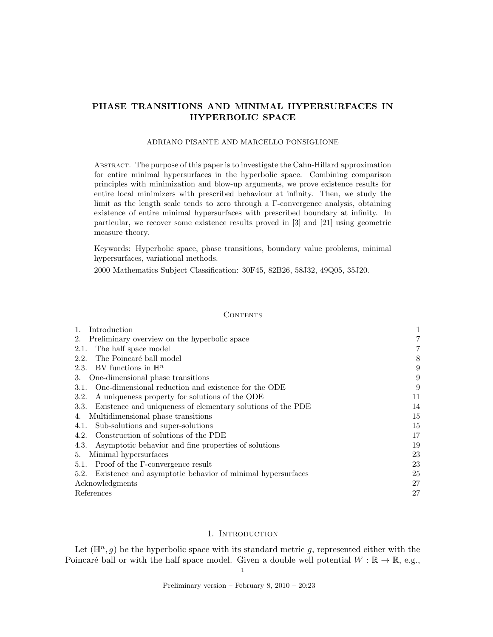# PHASE TRANSITIONS AND MINIMAL HYPERSURFACES IN HYPERBOLIC SPACE

## ADRIANO PISANTE AND MARCELLO PONSIGLIONE

Abstract. The purpose of this paper is to investigate the Cahn-Hillard approximation for entire minimal hypersurfaces in the hyperbolic space. Combining comparison principles with minimization and blow-up arguments, we prove existence results for entire local minimizers with prescribed behaviour at infinity. Then, we study the limit as the length scale tends to zero through a Γ-convergence analysis, obtaining existence of entire minimal hypersurfaces with prescribed boundary at infinity. In particular, we recover some existence results proved in [3] and [21] using geometric measure theory.

Keywords: Hyperbolic space, phase transitions, boundary value problems, minimal hypersurfaces, variational methods.

2000 Mathematics Subject Classification: 30F45, 82B26, 58J32, 49Q05, 35J20.

# **CONTENTS**

| Introduction                                                        |    |
|---------------------------------------------------------------------|----|
| Preliminary overview on the hyperbolic space<br>2.                  |    |
| The half space model<br>2.1.                                        |    |
| The Poincaré ball model<br>2.2.                                     | 8  |
| 2.3. BV functions in $\mathbb{H}^n$                                 | 9  |
| One-dimensional phase transitions<br>3.                             | 9  |
| One-dimensional reduction and existence for the ODE<br>3.1.         | 9  |
| A uniqueness property for solutions of the ODE<br>3.2.              | 11 |
| Existence and uniqueness of elementary solutions of the PDE<br>3.3. | 14 |
| Multidimensional phase transitions<br>4.                            | 15 |
| Sub-solutions and super-solutions<br>4.1.                           | 15 |
| Construction of solutions of the PDE<br>4.2.                        | 17 |
| Asymptotic behavior and fine properties of solutions<br>4.3.        | 19 |
| Minimal hypersurfaces<br>5.                                         | 23 |
| Proof of the F-convergence result<br>5.1.                           | 23 |
| Existence and asymptotic behavior of minimal hypersurfaces<br>5.2.  | 25 |
| Acknowledgments                                                     | 27 |
| References                                                          | 27 |

# 1. INTRODUCTION

Let  $(\mathbb{H}^n, g)$  be the hyperbolic space with its standard metric g, represented either with the Poincaré ball or with the half space model. Given a double well potential  $W : \mathbb{R} \to \mathbb{R}$ , e.g.,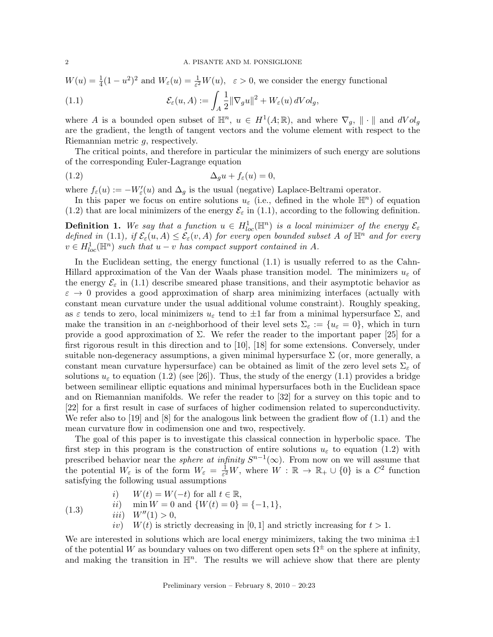$W(u) = \frac{1}{4}(1 - u^2)^2$  and  $W_{\varepsilon}(u) = \frac{1}{\varepsilon^2}W(u)$ ,  $\varepsilon > 0$ , we consider the energy functional

(1.1) 
$$
\mathcal{E}_{\varepsilon}(u, A) := \int_{A} \frac{1}{2} ||\nabla_{g} u||^{2} + W_{\varepsilon}(u) dVol_{g},
$$

where A is a bounded open subset of  $\mathbb{H}^n$ ,  $u \in H^1(A;\mathbb{R})$ , and where  $\nabla_g$ ,  $\|\cdot\|$  and  $dVol_g$ are the gradient, the length of tangent vectors and the volume element with respect to the Riemannian metric g, respectively.

The critical points, and therefore in particular the minimizers of such energy are solutions of the corresponding Euler-Lagrange equation

$$
(1.2)\qquad \Delta_g u + f_{\varepsilon}(u) = 0,
$$

where  $f_{\varepsilon}(u) := -W_{\varepsilon}'(u)$  and  $\Delta_g$  is the usual (negative) Laplace-Beltrami operator.

In this paper we focus on entire solutions  $u_{\varepsilon}$  (i.e., defined in the whole  $\mathbb{H}^n$ ) of equation (1.2) that are local minimizers of the energy  $\mathcal{E}_{\varepsilon}$  in (1.1), according to the following definition.

**Definition 1.** We say that a function  $u \in H^1_{loc}(\mathbb{H}^n)$  is a local minimizer of the energy  $\mathcal{E}_{\varepsilon}$ defined in (1.1), if  $\mathcal{E}_{\varepsilon}(u, A) \leq \mathcal{E}_{\varepsilon}(v, A)$  for every open bounded subset A of  $\mathbb{H}^n$  and for every  $v \in H_{loc}^1(\mathbb{H}^n)$  such that  $u - v$  has compact support contained in A.

In the Euclidean setting, the energy functional (1.1) is usually referred to as the Cahn-Hillard approximation of the Van der Waals phase transition model. The minimizers  $u_{\varepsilon}$  of the energy  $\mathcal{E}_{\varepsilon}$  in (1.1) describe smeared phase transitions, and their asymptotic behavior as  $\varepsilon \to 0$  provides a good approximation of sharp area minimizing interfaces (actually with constant mean curvature under the usual additional volume constraint). Roughly speaking, as  $\varepsilon$  tends to zero, local minimizers  $u_{\varepsilon}$  tend to  $\pm 1$  far from a minimal hypersurface  $\Sigma$ , and make the transition in an  $\varepsilon$ -neighborhood of their level sets  $\Sigma_{\varepsilon} := \{u_{\varepsilon} = 0\}$ , which in turn provide a good approximation of  $\Sigma$ . We refer the reader to the important paper [25] for a first rigorous result in this direction and to [10], [18] for some extensions. Conversely, under suitable non-degeneracy assumptions, a given minimal hypersurface  $\Sigma$  (or, more generally, a constant mean curvature hypersurface) can be obtained as limit of the zero level sets  $\Sigma_{\varepsilon}$  of solutions  $u_{\varepsilon}$  to equation (1.2) (see [26]). Thus, the study of the energy (1.1) provides a bridge between semilinear elliptic equations and minimal hypersurfaces both in the Euclidean space and on Riemannian manifolds. We refer the reader to [32] for a survey on this topic and to [22] for a first result in case of surfaces of higher codimension related to superconductivity. We refer also to [19] and [8] for the analogous link between the gradient flow of  $(1.1)$  and the mean curvature flow in codimension one and two, respectively.

The goal of this paper is to investigate this classical connection in hyperbolic space. The first step in this program is the construction of entire solutions  $u_{\varepsilon}$  to equation (1.2) with prescribed behavior near the *sphere at infinity*  $S^{n-1}(\infty)$ . From now on we will assume that the potential  $W_{\varepsilon}$  is of the form  $W_{\varepsilon} = \frac{1}{\varepsilon^2}$  $\frac{1}{\varepsilon^2}W$ , where  $W : \mathbb{R} \to \mathbb{R}_+ \cup \{0\}$  is a  $C^2$  function satisfying the following usual assumptions

i)  $W(t) = W(-t)$  for all  $t \in \mathbb{R}$ .

$$
ii) \quad \min W = 0 \text{ and } \{W(t) = 0\} = \{-1, 1\},
$$

iii)  $W''(1) > 0$ ,

(1.3)

iv)  $W(t)$  is strictly decreasing in [0, 1] and strictly increasing for  $t > 1$ .

We are interested in solutions which are local energy minimizers, taking the two minima  $\pm 1$ of the potential W as boundary values on two different open sets  $\Omega^{\pm}$  on the sphere at infinity, and making the transition in  $\mathbb{H}^n$ . The results we will achieve show that there are plenty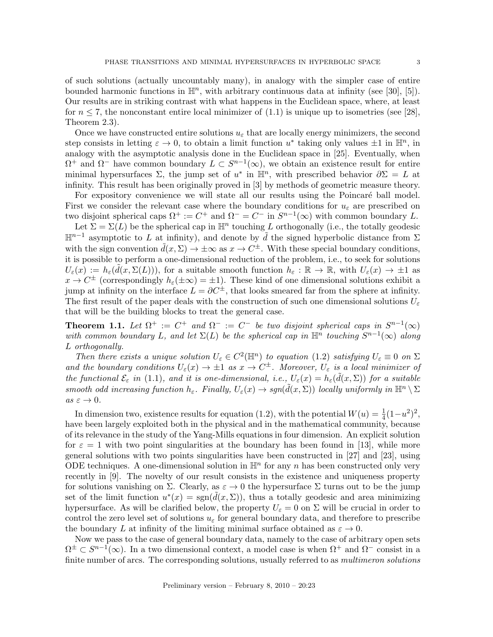of such solutions (actually uncountably many), in analogy with the simpler case of entire

bounded harmonic functions in  $\mathbb{H}^n$ , with arbitrary continuous data at infinity (see [30], [5]). Our results are in striking contrast with what happens in the Euclidean space, where, at least for  $n \le 7$ , the nonconstant entire local minimizer of  $(1.1)$  is unique up to isometries (see [28], Theorem 2.3).

Once we have constructed entire solutions  $u_{\varepsilon}$  that are locally energy minimizers, the second step consists in letting  $\varepsilon \to 0$ , to obtain a limit function  $u^*$  taking only values  $\pm 1$  in  $\mathbb{H}^n$ , in analogy with the asymptotic analysis done in the Euclidean space in [25]. Eventually, when  $\Omega^+$  and  $\Omega^-$  have common boundary  $L \subset S^{n-1}(\infty)$ , we obtain an existence result for entire minimal hypersurfaces  $\Sigma$ , the jump set of  $u^*$  in  $\mathbb{H}^n$ , with prescribed behavior  $\partial \Sigma = L$  at infinity. This result has been originally proved in [3] by methods of geometric measure theory.

For expository convenience we will state all our results using the Poincaré ball model. First we consider the relevant case where the boundary conditions for  $u_{\varepsilon}$  are prescribed on two disjoint spherical caps  $\Omega^+ := C^+$  and  $\Omega^- = C^-$  in  $S^{n-1}(\infty)$  with common boundary L.

Let  $\Sigma = \Sigma(L)$  be the spherical cap in  $\mathbb{H}^n$  touching L orthogonally (i.e., the totally geodesic  $\mathbb{H}^{n-1}$  asymptotic to L at infinity), and denote by  $\tilde{d}$  the signed hyperbolic distance from Σ with the sign convention  $\tilde{d}(x, \Sigma) \to \pm \infty$  as  $x \to C^{\pm}$ . With these special boundary conditions, it is possible to perform a one-dimensional reduction of the problem, i.e., to seek for solutions  $U_{\varepsilon}(x) := h_{\varepsilon}(\tilde{d}(x,\Sigma(L)))$ , for a suitable smooth function  $h_{\varepsilon}: \mathbb{R} \to \mathbb{R}$ , with  $U_{\varepsilon}(x) \to \pm 1$  as  $x \to C^{\pm}$  (correspondingly  $h_{\varepsilon}(\pm \infty) = \pm 1$ ). These kind of one dimensional solutions exhibit a jump at infinity on the interface  $L = \partial C^{\pm}$ , that looks smeared far from the sphere at infinity. The first result of the paper deals with the construction of such one dimensional solutions  $U_{\varepsilon}$ that will be the building blocks to treat the general case.

**Theorem 1.1.** Let  $\Omega^+ := C^+$  and  $\Omega^- := C^-$  be two disjoint spherical caps in  $S^{n-1}(\infty)$ with common boundary L, and let  $\Sigma(L)$  be the spherical cap in  $\mathbb{H}^n$  touching  $S^{n-1}(\infty)$  along L orthogonally.

Then there exists a unique solution  $U_{\varepsilon} \in C^2(\mathbb{H}^n)$  to equation (1.2) satisfying  $U_{\varepsilon} \equiv 0$  on  $\Sigma$ and the boundary conditions  $U_{\varepsilon}(x) \to \pm 1$  as  $x \to C^{\pm}$ . Moreover,  $U_{\varepsilon}$  is a local minimizer of the functional  $\mathcal{E}_{\varepsilon}$  in (1.1), and it is one-dimensional, i.e.,  $U_{\varepsilon}(x) = h_{\varepsilon}(\tilde{d}(x,\Sigma))$  for a suitable smooth odd increasing function  $h_{\varepsilon}$ . Finally,  $U_{\varepsilon}(x) \to sgn(\tilde{d}(x,\Sigma))$  locally uniformly in  $\mathbb{H}^n \setminus \Sigma$  $as \varepsilon \to 0.$ 

In dimension two, existence results for equation (1.2), with the potential  $W(u) = \frac{1}{4}(1-u^2)^2$ , have been largely exploited both in the physical and in the mathematical community, because of its relevance in the study of the Yang-Mills equations in four dimension. An explicit solution for  $\varepsilon = 1$  with two point singularities at the boundary has been found in [13], while more general solutions with two points singularities have been constructed in [27] and [23], using ODE techniques. A one-dimensional solution in  $\mathbb{H}^n$  for any n has been constructed only very recently in [9]. The novelty of our result consists in the existence and uniqueness property for solutions vanishing on  $\Sigma$ . Clearly, as  $\varepsilon \to 0$  the hypersurface  $\Sigma$  turns out to be the jump set of the limit function  $u^*(x) = \text{sgn}(\tilde{d}(x,\Sigma))$ , thus a totally geodesic and area minimizing hypersurface. As will be clarified below, the property  $U_{\varepsilon} = 0$  on  $\Sigma$  will be crucial in order to control the zero level set of solutions  $u_{\varepsilon}$  for general boundary data, and therefore to prescribe the boundary L at infinity of the limiting minimal surface obtained as  $\varepsilon \to 0$ .

Now we pass to the case of general boundary data, namely to the case of arbitrary open sets  $\Omega^{\pm} \subset S^{n-1}(\infty)$ . In a two dimensional context, a model case is when  $\Omega^{+}$  and  $\Omega^{-}$  consist in a finite number of arcs. The corresponding solutions, usually referred to as *multimeron solutions*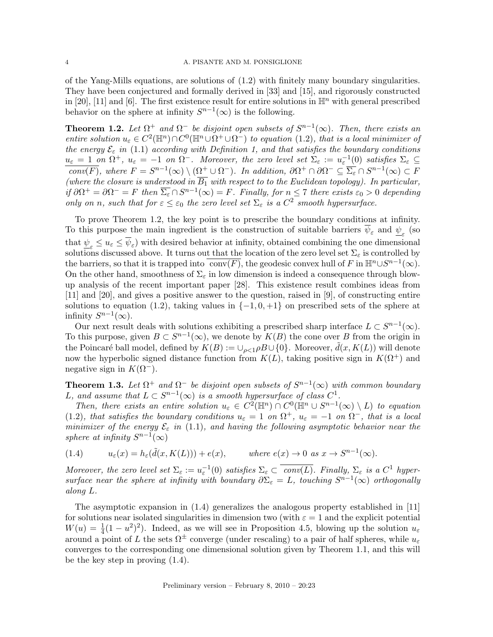of the Yang-Mills equations, are solutions of (1.2) with finitely many boundary singularities. They have been conjectured and formally derived in [33] and [15], and rigorously constructed in [20], [11] and [6]. The first existence result for entire solutions in  $\mathbb{H}^n$  with general prescribed behavior on the sphere at infinity  $S^{n-1}(\infty)$  is the following.

**Theorem 1.2.** Let  $\Omega^+$  and  $\Omega^-$  be disjoint open subsets of  $S^{n-1}(\infty)$ . Then, there exists an entire solution  $u_{\varepsilon} \in C^2(\mathbb{H}^n) \cap C^0(\mathbb{H}^n \cup \Omega^+)$  to equation (1.2), that is a local minimizer of the energy  $\mathcal{E}_{\varepsilon}$  in (1.1) according with Definition 1, and that satisfies the boundary conditions  $u_{\varepsilon} = 1$  on  $\Omega^+$ ,  $u_{\varepsilon} = -1$  on  $\Omega^-$ . Moreover, the zero level set  $\Sigma_{\varepsilon} := u_{\varepsilon}^{-1}(0)$  satisfies  $\Sigma_{\varepsilon} \subseteq$  $\overline{conv(F)}$ , where  $F = S^{n-1}(\infty) \setminus (\Omega^+ \cup \Omega^-)$ . In addition,  $\partial \Omega^+ \cap \partial \Omega^- \subseteq \overline{\Sigma_{\varepsilon}} \cap S^{n-1}(\infty) \subset F$ (where the closure is understood in  $B_1$  with respect to to the Euclidean topology). In particular, if  $\partial \Omega^+ = \partial \Omega^- = F$  then  $\overline{\Sigma_{\varepsilon}} \cap S^{n-1}(\infty) = F$ . Finally, for  $n \leq 7$  there exists  $\varepsilon_0 > 0$  depending only on n, such that for  $\varepsilon \leq \varepsilon_0$  the zero level set  $\Sigma_{\varepsilon}$  is a  $C^2$  smooth hypersurface.

To prove Theorem 1.2, the key point is to prescribe the boundary conditions at infinity. To this purpose the main ingredient is the construction of suitable barriers  $\psi_{\varepsilon}$  and  $\underline{\psi}_{\varepsilon}$  (so that  $\psi_{\varepsilon} \leq u_{\varepsilon} \leq \psi_{\varepsilon}$  with desired behavior at infinity, obtained combining the one dimensional solutions discussed above. It turns out that the location of the zero level set  $\Sigma_{\varepsilon}$  is controlled by the barriers, so that it is trapped into  $\overline{conv(F)}$ , the geodesic convex hull of F in  $\mathbb{H}^n \cup S^{n-1}(\infty)$ . On the other hand, smoothness of  $\Sigma_{\varepsilon}$  in low dimension is indeed a consequence through blowup analysis of the recent important paper [28]. This existence result combines ideas from [11] and [20], and gives a positive answer to the question, raised in [9], of constructing entire solutions to equation (1.2), taking values in  $\{-1, 0, +1\}$  on prescribed sets of the sphere at infinity  $S^{n-1}(\infty)$ .

Our next result deals with solutions exhibiting a prescribed sharp interface  $L \subset S^{n-1}(\infty)$ . To this purpose, given  $B \subset S^{n-1}(\infty)$ , we denote by  $K(B)$  the cone over B from the origin in the Poincaré ball model, defined by  $K(B) := \bigcup_{\rho \leq 1} \rho B \cup \{0\}$ . Moreover,  $\tilde{d}(x, K(L))$  will denote now the hyperbolic signed distance function from  $K(L)$ , taking positive sign in  $K(\Omega^+)$  and negative sign in  $K(\Omega^-)$ .

**Theorem 1.3.** Let  $\Omega^+$  and  $\Omega^-$  be disjoint open subsets of  $S^{n-1}(\infty)$  with common boundary L, and assume that  $L \subset S^{n-1}(\infty)$  is a smooth hypersurface of class  $C^1$ .

Then, there exists an entire solution  $u_{\varepsilon} \in C^2(\mathbb{H}^n) \cap C^0(\mathbb{H}^n \cup S^{n-1}(\infty) \setminus L)$  to equation (1.2), that satisfies the boundary conditions  $u_{\varepsilon} = 1$  on  $\Omega^+$ ,  $u_{\varepsilon} = -1$  on  $\Omega^-$ , that is a local minimizer of the energy  $\mathcal{E}_{\varepsilon}$  in (1.1), and having the following asymptotic behavior near the sphere at infinity  $S^{n-1}(\infty)$ 

(1.4) 
$$
u_{\varepsilon}(x) = h_{\varepsilon}(\tilde{d}(x, K(L))) + e(x), \qquad \text{where } e(x) \to 0 \text{ as } x \to S^{n-1}(\infty).
$$

Moreover, the zero level set  $\Sigma_{\varepsilon} := u_{\varepsilon}^{-1}(0)$  satisfies  $\Sigma_{\varepsilon} \subset \overline{conv(L)}$ . Finally,  $\Sigma_{\varepsilon}$  is a  $C^1$  hypersurface near the sphere at infinity with boundary  $\partial \Sigma_{\varepsilon} = L$ , touching  $S^{n-1}(\infty)$  orthogonally along L.

The asymptotic expansion in (1.4) generalizes the analogous property established in [11] for solutions near isolated singularities in dimension two (with  $\varepsilon = 1$  and the explicit potential  $W(u) = \frac{1}{4}(1 - u^2)^2$ . Indeed, as we will see in Proposition 4.5, blowing up the solution  $u_{\varepsilon}$ around a point of L the sets  $\Omega^{\pm}$  converge (under rescaling) to a pair of half spheres, while  $u_{\varepsilon}$ converges to the corresponding one dimensional solution given by Theorem 1.1, and this will be the key step in proving (1.4).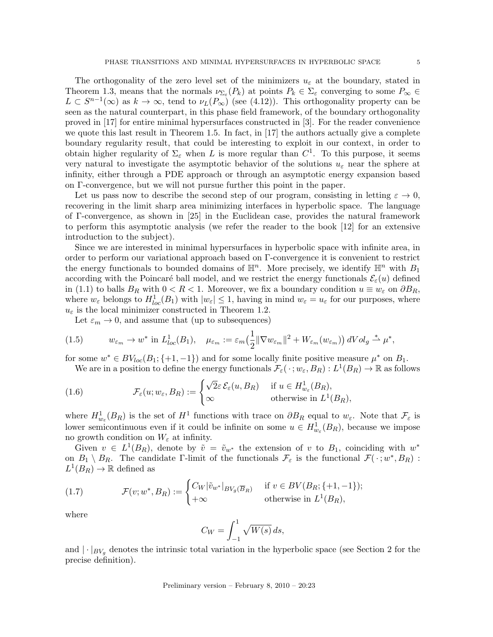The orthogonality of the zero level set of the minimizers  $u_{\varepsilon}$  at the boundary, stated in Theorem 1.3, means that the normals  $\nu_{\Sigma_{\varepsilon}}(P_k)$  at points  $P_k \in \Sigma_{\varepsilon}$  converging to some  $P_{\infty} \in$  $L \subset S^{n-1}(\infty)$  as  $k \to \infty$ , tend to  $\nu_L(P_\infty)$  (see (4.12)). This orthogonality property can be seen as the natural counterpart, in this phase field framework, of the boundary orthogonality proved in [17] for entire minimal hypersurfaces constructed in [3]. For the reader convenience we quote this last result in Theorem 1.5. In fact, in [17] the authors actually give a complete boundary regularity result, that could be interesting to exploit in our context, in order to obtain higher regularity of  $\Sigma_{\varepsilon}$  when L is more regular than  $C^1$ . To this purpose, it seems very natural to investigate the asymptotic behavior of the solutions  $u_{\varepsilon}$  near the sphere at infinity, either through a PDE approach or through an asymptotic energy expansion based on Γ-convergence, but we will not pursue further this point in the paper.

Let us pass now to describe the second step of our program, consisting in letting  $\varepsilon \to 0$ , recovering in the limit sharp area minimizing interfaces in hyperbolic space. The language of Γ-convergence, as shown in [25] in the Euclidean case, provides the natural framework to perform this asymptotic analysis (we refer the reader to the book [12] for an extensive introduction to the subject).

Since we are interested in minimal hypersurfaces in hyperbolic space with infinite area, in order to perform our variational approach based on Γ-convergence it is convenient to restrict the energy functionals to bounded domains of  $\mathbb{H}^n$ . More precisely, we identify  $\mathbb{H}^n$  with  $B_1$ according with the Poincaré ball model, and we restrict the energy functionals  $\mathcal{E}_{\varepsilon}(u)$  defined in (1.1) to balls  $B_R$  with  $0 < R < 1$ . Moreover, we fix a boundary condition  $u \equiv w_{\varepsilon}$  on  $\partial B_R$ , where  $w_{\varepsilon}$  belongs to  $H_{loc}^1(B_1)$  with  $|w_{\varepsilon}| \leq 1$ , having in mind  $w_{\varepsilon} = u_{\varepsilon}$  for our purposes, where  $u_{\varepsilon}$  is the local minimizer constructed in Theorem 1.2.

Let  $\varepsilon_m \to 0$ , and assume that (up to subsequences)

(1.5) 
$$
w_{\varepsilon_m} \to w^* \text{ in } L^1_{loc}(B_1), \quad \mu_{\varepsilon_m} := \varepsilon_m \left(\frac{1}{2} \|\nabla w_{\varepsilon_m}\|^2 + W_{\varepsilon_m}(w_{\varepsilon_m})\right) dVol_g \stackrel{*}{\rightharpoonup} \mu^*,
$$

for some  $w^* \in BV_{loc}(B_1;\{+1,-1\})$  and for some locally finite positive measure  $\mu^*$  on  $B_1$ .

We are in a position to define the energy functionals  $\mathcal{F}_{\varepsilon}(\,\cdot\,;w_\varepsilon,B_R):L^1(B_R)\to\mathbb{R}$  as follows

(1.6) 
$$
\mathcal{F}_{\varepsilon}(u; w_{\varepsilon}, B_R) := \begin{cases} \sqrt{2}\varepsilon \,\mathcal{E}_{\varepsilon}(u, B_R) & \text{if } u \in H_{w_{\varepsilon}}^1(B_R), \\ \infty & \text{otherwise in } L^1(B_R), \end{cases}
$$

where  $H^1_{w_{\varepsilon}}(B_R)$  is the set of  $H^1$  functions with trace on  $\partial B_R$  equal to  $w_{\varepsilon}$ . Note that  $\mathcal{F}_{\varepsilon}$  is lower semicontinuous even if it could be infinite on some  $u \in H^1_{w_{\varepsilon}}(B_R)$ , because we impose no growth condition on  $W_{\varepsilon}$  at infinity.

Given  $v \in L^1(B_R)$ , denote by  $\tilde{v} = \tilde{v}_{w^*}$  the extension of v to  $B_1$ , coinciding with  $w^*$ on  $B_1 \setminus B_R$ . The candidate Γ-limit of the functionals  $\mathcal{F}_{\varepsilon}$  is the functional  $\mathcal{F}(\cdot; w^*, B_R)$ :  $L^1(B_R) \to \mathbb{R}$  defined as

(1.7) 
$$
\mathcal{F}(v; w^*, B_R) := \begin{cases} C_W |\tilde{v}_{w^*}|_{BV_g(\overline{B}_R)} & \text{if } v \in BV(B_R; \{+1, -1\});\\ +\infty & \text{otherwise in } L^1(B_R), \end{cases}
$$

where

$$
C_W = \int_{-1}^1 \sqrt{W(s)} \, ds,
$$

and  $|\cdot|_{BV_g}$  denotes the intrinsic total variation in the hyperbolic space (see Section 2 for the precise definition).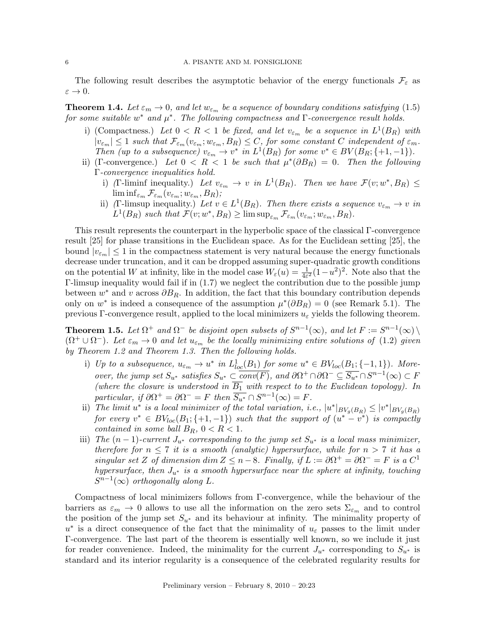The following result describes the asymptotic behavior of the energy functionals  $\mathcal{F}_{\varepsilon}$  as  $\varepsilon \to 0.$ 

**Theorem 1.4.** Let  $\varepsilon_m \to 0$ , and let  $w_{\varepsilon_m}$  be a sequence of boundary conditions satisfying (1.5) for some suitable  $w^*$  and  $\mu^*$ . The following compactness and  $\Gamma$ -convergence result holds.

- i) (Compactness.) Let  $0 < R < 1$  be fixed, and let  $v_{\varepsilon_m}$  be a sequence in  $L^1(B_R)$  with  $|v_{\varepsilon_m}| \leq 1$  such that  $\mathcal{F}_{\varepsilon_m}(v_{\varepsilon_m}; w_{\varepsilon_m}, B_R) \leq C$ , for some constant C independent of  $\varepsilon_m$ . Then (up to a subsequence)  $v_{\varepsilon_m} \to v^*$  in  $L^1(B_R)$  for some  $v^* \in BV(B_R; \{+1, -1\})$ .
- ii) (Γ-convergence.) Let  $0 \le R \le 1$  be such that  $\mu^*(\partial B_R) = 0$ . Then the following Γ-convergence inequalities hold.
	- i) (Γ-liminf inequality.) Let  $v_{\varepsilon_m} \to v$  in  $L^1(B_R)$ . Then we have  $\mathcal{F}(v; w^*, B_R) \leq$  $\liminf_{\varepsilon_m} \mathcal{F}_{\varepsilon_m}(v_{\varepsilon_m}; w_{\varepsilon_m}, B_R);$
	- ii) (Γ-limsup inequality.) Let  $v \in L^1(B_R)$ . Then there exists a sequence  $v_{\varepsilon_m} \to v$  in  $L^1(B_R)$  such that  $\mathcal{F}(v; w^*, B_R) \geq \limsup_{\varepsilon_m} \mathcal{F}_{\varepsilon_m}(v_{\varepsilon_m}; w_{\varepsilon_m}, B_R)$ .

This result represents the counterpart in the hyperbolic space of the classical Γ-convergence result [25] for phase transitions in the Euclidean space. As for the Euclidean setting [25], the bound  $|v_{\varepsilon_m}| \leq 1$  in the compactness statement is very natural because the energy functionals decrease under truncation, and it can be dropped assuming super-quadratic growth conditions on the potential W at infinity, like in the model case  $W_{\varepsilon}(u) = \frac{1}{4\varepsilon^2}(1-u^2)^2$ . Note also that the Γ-limsup inequality would fail if in (1.7) we neglect the contribution due to the possible jump between  $w^*$  and v across  $\partial B_R$ . In addition, the fact that this boundary contribution depends only on  $w^*$  is indeed a consequence of the assumption  $\mu^*(\partial B_R) = 0$  (see Remark 5.1). The previous Γ-convergence result, applied to the local minimizers  $u_{\varepsilon}$  yields the following theorem.

**Theorem 1.5.** Let  $\Omega^+$  and  $\Omega^-$  be disjoint open subsets of  $S^{n-1}(\infty)$ , and let  $F := S^{n-1}(\infty) \setminus$  $(\Omega^+ \cup \Omega^-)$ . Let  $\varepsilon_m \to 0$  and let  $u_{\varepsilon_m}$  be the locally minimizing entire solutions of (1.2) given by Theorem 1.2 and Theorem 1.3. Then the following holds.

- i) Up to a subsequence,  $u_{\varepsilon_m} \to u^*$  in  $L^1_{loc}(B_1)$  for some  $u^* \in BV_{loc}(B_1; \{-1,1\})$ . Moreover, the jump set  $S_{u^*}$  satisfies  $S_{u^*} \subset \overline{conv(F)}$ , and  $\partial \Omega^+ \cap \partial \Omega^- \subseteq \overline{S_{u^*}} \cap S^{n-1}(\infty) \subset F$ (where the closure is understood in  $\overline{B_1}$  with respect to to the Euclidean topology). In particular, if  $\partial \Omega^+ = \partial \Omega^- = F$  then  $\overline{S_{u^*}} \cap S^{n-1}(\infty) = F$ .
- ii) The limit  $u^*$  is a local minimizer of the total variation, i.e.,  $|u^*|_{BV_g(B_R)} \le |v^*|_{BV_g(B_R)}$ for every  $v^* \in BV_{loc}(B_1;\{+1,-1\})$  such that the support of  $(u^* - v^*)$  is compactly contained in some ball  $B_R$ ,  $0 < R < 1$ .
- iii) The  $(n-1)$ -current  $J_{u^*}$  corresponding to the jump set  $S_{u^*}$  is a local mass minimizer, therefore for  $n \leq 7$  it is a smooth (analytic) hypersurface, while for  $n > 7$  it has a singular set Z of dimension dim  $Z \leq n-8$ . Finally, if  $L := \partial \Omega^+ = \partial \Omega^- = F$  is a  $C^1$ hypersurface, then  $J_{u^*}$  is a smooth hypersurface near the sphere at infinity, touching  $S^{n-1}(\infty)$  orthogonally along L.

Compactness of local minimizers follows from Γ-convergence, while the behaviour of the barriers as  $\varepsilon_m \to 0$  allows to use all the information on the zero sets  $\Sigma_{\varepsilon_m}$  and to control the position of the jump set  $S_{u^*}$  and its behaviour at infinity. The minimality property of  $u^*$  is a direct consequence of the fact that the minimality of  $u_{\varepsilon}$  passes to the limit under Γ-convergence. The last part of the theorem is essentially well known, so we include it just for reader convenience. Indeed, the minimality for the current  $J_{u^*}$  corresponding to  $S_{u^*}$  is standard and its interior regularity is a consequence of the celebrated regularity results for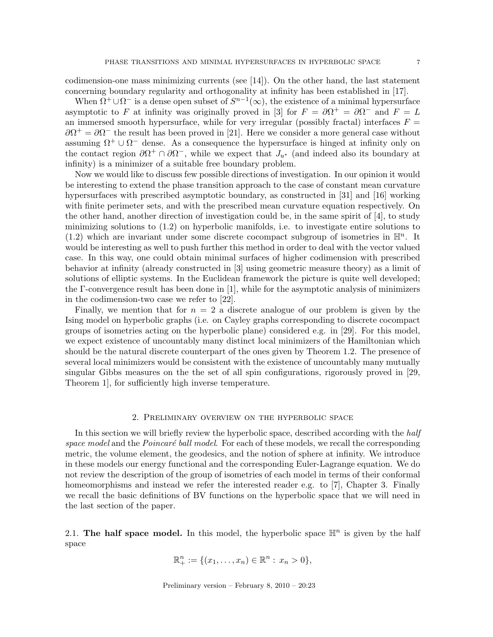codimension-one mass minimizing currents (see  $[14]$ ). On the other hand, the last statement concerning boundary regularity and orthogonality at infinity has been established in [17].

When  $\Omega^+ \cup \Omega^-$  is a dense open subset of  $S^{n-1}(\infty)$ , the existence of a minimal hypersurface asymptotic to F at infinity was originally proved in [3] for  $F = \partial \Omega^+ = \partial \Omega^-$  and  $F = L$ an immersed smooth hypersurface, while for very irregular (possibly fractal) interfaces  $F =$  $\partial \Omega^+ = \partial \Omega^-$  the result has been proved in [21]. Here we consider a more general case without assuming  $\Omega^+ \cup \Omega^-$  dense. As a consequence the hypersurface is hinged at infinity only on the contact region  $\partial \Omega^+ \cap \partial \Omega^-$ , while we expect that  $J_{u^*}$  (and indeed also its boundary at infinity) is a minimizer of a suitable free boundary problem.

Now we would like to discuss few possible directions of investigation. In our opinion it would be interesting to extend the phase transition approach to the case of constant mean curvature hypersurfaces with prescribed asymptotic boundary, as constructed in [31] and [16] working with finite perimeter sets, and with the prescribed mean curvature equation respectively. On the other hand, another direction of investigation could be, in the same spirit of [4], to study minimizing solutions to (1.2) on hyperbolic manifolds, i.e. to investigate entire solutions to (1.2) which are invariant under some discrete cocompact subgroup of isometries in  $\mathbb{H}^n$ . It would be interesting as well to push further this method in order to deal with the vector valued case. In this way, one could obtain minimal surfaces of higher codimension with prescribed behavior at infinity (already constructed in [3] using geometric measure theory) as a limit of solutions of elliptic systems. In the Euclidean framework the picture is quite well developed; the Γ-convergence result has been done in [1], while for the asymptotic analysis of minimizers in the codimension-two case we refer to [22].

Finally, we mention that for  $n = 2$  a discrete analogue of our problem is given by the Ising model on hyperbolic graphs (i.e. on Cayley graphs corresponding to discrete cocompact groups of isometries acting on the hyperbolic plane) considered e.g. in [29]. For this model, we expect existence of uncountably many distinct local minimizers of the Hamiltonian which should be the natural discrete counterpart of the ones given by Theorem 1.2. The presence of several local minimizers would be consistent with the existence of uncountably many mutually singular Gibbs measures on the the set of all spin configurations, rigorously proved in [29, Theorem 1], for sufficiently high inverse temperature.

# 2. Preliminary overview on the hyperbolic space

In this section we will briefly review the hyperbolic space, described according with the half space model and the Poincaré ball model. For each of these models, we recall the corresponding metric, the volume element, the geodesics, and the notion of sphere at infinity. We introduce in these models our energy functional and the corresponding Euler-Lagrange equation. We do not review the description of the group of isometries of each model in terms of their conformal homeomorphisms and instead we refer the interested reader e.g. to [7], Chapter 3. Finally we recall the basic definitions of BV functions on the hyperbolic space that we will need in the last section of the paper.

2.1. The half space model. In this model, the hyperbolic space  $\mathbb{H}^n$  is given by the half space

$$
\mathbb{R}^n_+ := \{(x_1, \ldots, x_n) \in \mathbb{R}^n : x_n > 0\},\
$$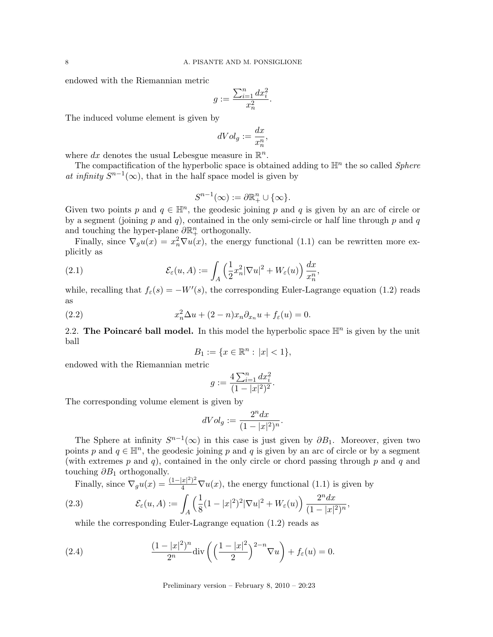endowed with the Riemannian metric

$$
g:=\frac{\sum_{i=1}^n dx_i^2}{x_n^2}.
$$

The induced volume element is given by

$$
dVol_g := \frac{dx}{x_n^n},
$$

where dx denotes the usual Lebesgue measure in  $\mathbb{R}^n$ .

The compactification of the hyperbolic space is obtained adding to  $\mathbb{H}^n$  the so called *Sphere* at infinity  $S^{n-1}(\infty)$ , that in the half space model is given by

$$
S^{n-1}(\infty) := \partial \mathbb{R}^n_+ \cup \{\infty\}.
$$

Given two points p and  $q \in \mathbb{H}^n$ , the geodesic joining p and q is given by an arc of circle or by a segment (joining  $p$  and  $q$ ), contained in the only semi-circle or half line through  $p$  and  $q$ and touching the hyper-plane  $\partial \mathbb{R}^n_+$  orthogonally.

Finally, since  $\nabla_g u(x) = x_n^2 \nabla u(x)$ , the energy functional (1.1) can be rewritten more explicitly as

(2.1) 
$$
\mathcal{E}_{\varepsilon}(u, A) := \int_{A} \left( \frac{1}{2} x_n^2 |\nabla u|^2 + W_{\varepsilon}(u) \right) \frac{dx}{x_n^n},
$$

while, recalling that  $f_{\varepsilon}(s) = -W'(s)$ , the corresponding Euler-Lagrange equation (1.2) reads as

(2.2) 
$$
x_n^2 \Delta u + (2 - n)x_n \partial_{x_n} u + f_{\varepsilon}(u) = 0.
$$

2.2. The Poincaré ball model. In this model the hyperbolic space  $\mathbb{H}^n$  is given by the unit ball

$$
B_1 := \{ x \in \mathbb{R}^n : |x| < 1 \},
$$

endowed with the Riemannian metric

$$
g:=\frac{4\sum_{i=1}^n dx_i^2}{(1-|x|^2)^2}.
$$

The corresponding volume element is given by

$$
dVol_g := \frac{2^n dx}{(1-|x|^2)^n}.
$$

The Sphere at infinity  $S^{n-1}(\infty)$  in this case is just given by  $\partial B_1$ . Moreover, given two points p and  $q \in \mathbb{H}^n$ , the geodesic joining p and q is given by an arc of circle or by a segment (with extremes  $p$  and  $q$ ), contained in the only circle or chord passing through  $p$  and  $q$  and touching  $\partial B_1$  orthogonally.

Finally, since  $\nabla_g u(x) = \frac{(1-|x|^2)^2}{4} \nabla u(x)$ , the energy functional (1.1) is given by

(2.3) 
$$
\mathcal{E}_{\varepsilon}(u, A) := \int_{A} \left(\frac{1}{8}(1-|x|^2)^2 |\nabla u|^2 + W_{\varepsilon}(u)\right) \frac{2^n dx}{(1-|x|^2)^n},
$$

while the corresponding Euler-Lagrange equation (1.2) reads as

(2.4) 
$$
\frac{(1-|x|^2)^n}{2^n} \text{div}\left(\left(\frac{1-|x|^2}{2}\right)^{2-n} \nabla u\right) + f_{\varepsilon}(u) = 0.
$$

Preliminary version – February 8, 2010 – 20:23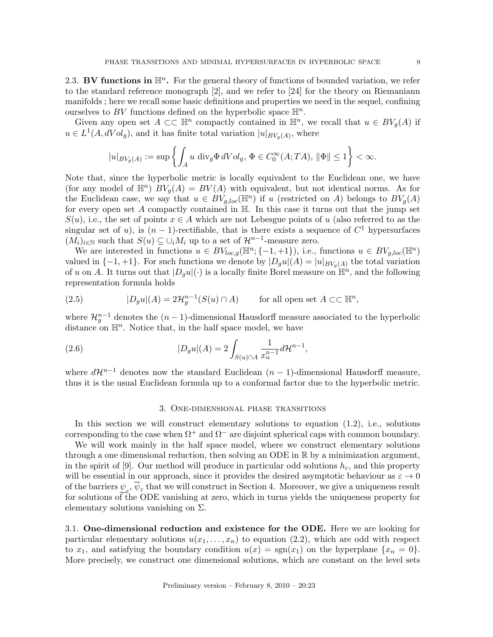2.3. BV functions in  $\mathbb{H}^n$ . For the general theory of functions of bounded variation, we refer to the standard reference monograph [2], and we refer to [24] for the theory on Riemaniann manifolds ; here we recall some basic definitions and properties we need in the sequel, confining ourselves to BV functions defined on the hyperbolic space  $\mathbb{H}^n$ .

Given any open set  $A \subset \subset \mathbb{H}^n$  compactly contained in  $\mathbb{H}^n$ , we recall that  $u \in BV_g(A)$  if  $u \in L^1(A, dVol_g)$ , and it has finite total variation  $|u|_{BV_g(A)}$ , where

$$
|u|_{BV_g(A)} := \sup \left\{ \int_A u \, \text{div}_g \Phi \, dVol_g, \, \Phi \in C_0^{\infty}(A;TA), \, \|\Phi\| \le 1 \right\} < \infty.
$$

Note that, since the hyperbolic metric is locally equivalent to the Euclidean one, we have (for any model of  $\mathbb{H}^n$ )  $BV_g(A) = BV(A)$  with equivalent, but not identical norms. As for the Euclidean case, we say that  $u \in BV_{g,loc}(\mathbb{H}^n)$  if u (restricted on A) belongs to  $BV_g(A)$ for every open set A compactly contained in H. In this case it turns out that the jump set  $S(u)$ , i.e., the set of points  $x \in A$  which are not Lebesgue points of u (also referred to as the singular set of u), is  $(n-1)$ -rectifiable, that is there exists a sequence of  $C<sup>1</sup>$  hypersurfaces  $(M_i)_{i\in\mathbb{N}}$  such that  $S(u) \subseteq \bigcup_i M_i$  up to a set of  $\mathcal{H}^{n-1}$ -measure zero.

We are interested in functions  $u \in BV_{loc,q}(\mathbb{H}^n;\{-1,+1\}),$  i.e., functions  $u \in BV_{g,loc}(\mathbb{H}^n)$ valued in  $\{-1, +1\}$ . For such functions we denote by  $|D_g u|(A) = |u|_{BV_g(A)}$  the total variation of u on A. It turns out that  $|D_g u|(\cdot)$  is a locally finite Borel measure on  $\mathbb{H}^n$ , and the following representation formula holds

(2.5) 
$$
|D_g u|(A) = 2\mathcal{H}_g^{n-1}(S(u) \cap A) \quad \text{for all open set } A \subset\subset \mathbb{H}^n,
$$

where  $\mathcal{H}_g^{n-1}$  denotes the  $(n-1)$ -dimensional Hausdorff measure associated to the hyperbolic distance on  $\mathbb{H}^n$ . Notice that, in the half space model, we have

(2.6) 
$$
|D_g u|(A) = 2 \int_{S(u) \cap A} \frac{1}{x_n^{n-1}} d\mathcal{H}^{n-1},
$$

where  $d\mathcal{H}^{n-1}$  denotes now the standard Euclidean  $(n-1)$ -dimensional Hausdorff measure, thus it is the usual Euclidean formula up to a conformal factor due to the hyperbolic metric.

## 3. One-dimensional phase transitions

In this section we will construct elementary solutions to equation  $(1.2)$ , i.e., solutions corresponding to the case when  $\Omega^+$  and  $\Omega^-$  are disjoint spherical caps with common boundary.

We will work mainly in the half space model, where we construct elementary solutions through a one dimensional reduction, then solving an ODE in R by a minimization argument, in the spirit of [9]. Our method will produce in particular odd solutions  $h_{\varepsilon}$ , and this property will be essential in our approach, since it provides the desired asymptotic behaviour as  $\varepsilon \to 0$ of the barriers  $\psi_{\varepsilon}$ ,  $\psi_{\varepsilon}$  that we will construct in Section 4. Moreover, we give a uniqueness result for solutions of the ODE vanishing at zero, which in turns yields the uniqueness property for elementary solutions vanishing on  $\Sigma$ .

3.1. One-dimensional reduction and existence for the ODE. Here we are looking for particular elementary solutions  $u(x_1, \ldots, x_n)$  to equation (2.2), which are odd with respect to  $x_1$ , and satisfying the boundary condition  $u(x) = \text{sgn}(x_1)$  on the hyperplane  $\{x_n = 0\}$ . More precisely, we construct one dimensional solutions, which are constant on the level sets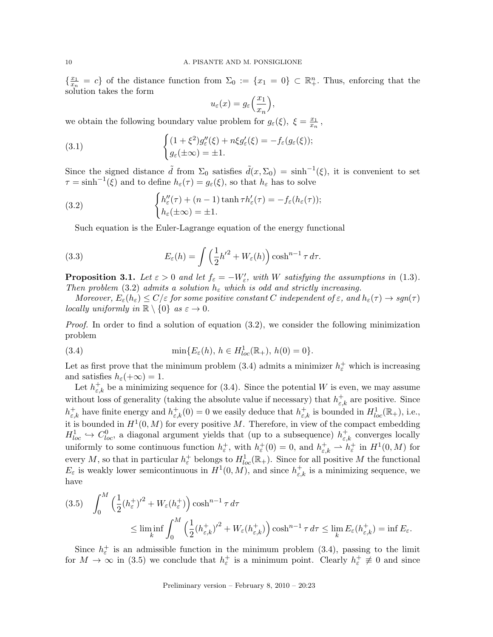$\frac{x_1}{x_1}$  $\frac{x_1}{x_n} = c$  of the distance function from  $\Sigma_0 := \{x_1 = 0\} \subset \mathbb{R}^n_+$ . Thus, enforcing that the solution takes the form

$$
u_{\varepsilon}(x) = g_{\varepsilon}\left(\frac{x_1}{x_n}\right),\,
$$

we obtain the following boundary value problem for  $g_{\varepsilon}(\xi)$ ,  $\xi = \frac{x_1}{x_n}$  $\frac{x_1}{x_n}$ ,

(3.1) 
$$
\begin{cases} (1+\xi^2)g_{\varepsilon}''(\xi) + n\xi g_{\varepsilon}'(\xi) = -f_{\varepsilon}(g_{\varepsilon}(\xi));\\ g_{\varepsilon}(\pm \infty) = \pm 1. \end{cases}
$$

Since the signed distance  $\tilde{d}$  from  $\Sigma_0$  satisfies  $\tilde{d}(x,\Sigma_0) = \sinh^{-1}(\xi)$ , it is convenient to set  $\tau = \sinh^{-1}(\xi)$  and to define  $h_{\varepsilon}(\tau) = g_{\varepsilon}(\xi)$ , so that  $h_{\varepsilon}$  has to solve

(3.2) 
$$
\begin{cases} h''_{\varepsilon}(\tau) + (n-1) \tanh \tau h'_{\varepsilon}(\tau) = -f_{\varepsilon}(h_{\varepsilon}(\tau)); \\ h_{\varepsilon}(\pm \infty) = \pm 1. \end{cases}
$$

Such equation is the Euler-Lagrange equation of the energy functional

(3.3) 
$$
E_{\varepsilon}(h) = \int \left(\frac{1}{2}h'^2 + W_{\varepsilon}(h)\right) \cosh^{n-1} \tau \, d\tau.
$$

**Proposition 3.1.** Let  $\varepsilon > 0$  and let  $f_{\varepsilon} = -W'_{\varepsilon}$ , with W satisfying the assumptions in (1.3). Then problem (3.2) admits a solution  $h_{\varepsilon}$  which is odd and strictly increasing.

Moreover,  $E_{\varepsilon}(h_{\varepsilon}) \leq C/\varepsilon$  for some positive constant C independent of  $\varepsilon$ , and  $h_{\varepsilon}(\tau) \to sgn(\tau)$ locally uniformly in  $\mathbb{R} \setminus \{0\}$  as  $\varepsilon \to 0$ .

*Proof.* In order to find a solution of equation  $(3.2)$ , we consider the following minimization problem

(3.4) 
$$
\min\{E_{\varepsilon}(h), h \in H_{loc}^1(\mathbb{R}_+), h(0) = 0\}.
$$

Let as first prove that the minimum problem (3.4) admits a minimizer  $h_{\varepsilon}^{+}$  which is increasing and satisfies  $h_{\varepsilon}(+\infty) = 1$ .

Let  $h_{\varepsilon,k}^+$  be a minimizing sequence for (3.4). Since the potential W is even, we may assume without loss of generality (taking the absolute value if necessary) that  $h_{\varepsilon,k}^{+}$  are positive. Since  $h_{\varepsilon,k}^+$  have finite energy and  $h_{\varepsilon,k}^+(0) = 0$  we easily deduce that  $h_{\varepsilon,k}^+$  is bounded in  $H_{loc}^1(\mathbb{R}_+),$  i.e., it is bounded in  $H^1(0,M)$  for every positive M. Therefore, in view of the compact embedding  $H_{loc}^1 \hookrightarrow C_{loc}^0$ , a diagonal argument yields that (up to a subsequence)  $h_{\varepsilon,k}^+$  converges locally uniformly to some continuous function  $h_{\varepsilon}^+$ , with  $h_{\varepsilon}^+(0) = 0$ , and  $h_{\varepsilon,k}^+ \rightharpoonup h_{\varepsilon}^+$  in  $H^1(0,M)$  for every M, so that in particular  $h_{\varepsilon}^+$  belongs to  $H_{loc}^1(\mathbb{R}_+)$ . Since for all positive M the functional  $E_{\varepsilon}$  is weakly lower semicontinuous in  $H^1(0, M)$ , and since  $h_{\varepsilon,k}^+$  is a minimizing sequence, we have

$$
(3.5) \quad \int_0^M \left(\frac{1}{2} (h_{\varepsilon}^+)^2 + W_{\varepsilon} (h_{\varepsilon}^+) \right) \cosh^{n-1} \tau \, d\tau
$$
  

$$
\leq \liminf_k \int_0^M \left(\frac{1}{2} (h_{\varepsilon,k}^+)^2 + W_{\varepsilon} (h_{\varepsilon,k}^+) \right) \cosh^{n-1} \tau \, d\tau \leq \lim_k E_{\varepsilon} (h_{\varepsilon,k}^+) = \inf E_{\varepsilon}.
$$

Since  $h_{\varepsilon}^{+}$  is an admissible function in the minimum problem (3.4), passing to the limit for  $M \to \infty$  in (3.5) we conclude that  $h_{\varepsilon}^+$  is a minimum point. Clearly  $h_{\varepsilon}^+ \neq 0$  and since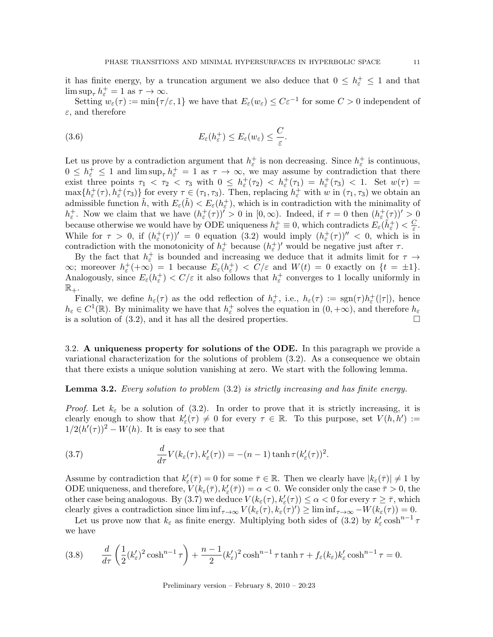it has finite energy, by a truncation argument we also deduce that  $0 \leq h_{\varepsilon}^+ \leq 1$  and that  $\limsup_{\tau} h_{\varepsilon}^+ = 1$  as  $\tau \to \infty$ .

Setting  $w_{\varepsilon}(\tau) := \min\{\tau/\varepsilon, 1\}$  we have that  $E_{\varepsilon}(w_{\varepsilon}) \leq C \varepsilon^{-1}$  for some  $C > 0$  independent of  $\varepsilon$ , and therefore

(3.6) 
$$
E_{\varepsilon}(h_{\varepsilon}^{+}) \leq E_{\varepsilon}(w_{\varepsilon}) \leq \frac{C}{\varepsilon}.
$$

Let us prove by a contradiction argument that  $h_{\varepsilon}^{+}$  is non decreasing. Since  $h_{\varepsilon}^{+}$  is continuous,  $0 \leq h_{\varepsilon}^+ \leq 1$  and  $\limsup_{\tau} h_{\varepsilon}^+ = 1$  as  $\tau \to \infty$ , we may assume by contradiction that there exist three points  $\tau_1 < \tau_2 < \tau_3$  with  $0 \leq h_{\varepsilon}^+(\tau_2) < h_{\varepsilon}^+(\tau_1) = h_{\varepsilon}^+(\tau_3) < 1$ . Set  $w(\tau) =$  $\max\{h_{\varepsilon}^+(\tau), h_{\varepsilon}^+(\tau_3)\}\$ for every  $\tau \in (\tau_1, \tau_3)$ . Then, replacing  $h_{\varepsilon}^+\$  with w in  $(\tau_1, \tau_3)$  we obtain an admissible function  $\tilde{h}$ , with  $E_{\varepsilon}(\tilde{h}) < E_{\varepsilon}(h_{\varepsilon}^+)$ , which is in contradiction with the minimality of  $h_{\varepsilon}^+$ . Now we claim that we have  $(h_{\varepsilon}^+(\tau))^{\prime} > 0$  in  $[0, \infty)$ . Indeed, if  $\tau = 0$  then  $(h_{\varepsilon}^+(\tau))^{\prime} > 0$ because otherwise we would have by ODE uniqueness  $h_{\varepsilon}^{+} \equiv 0$ , which contradicts  $E_{\varepsilon}(\tilde{h}_{\varepsilon}^{+}) < \frac{C}{\varepsilon}$  $\frac{C}{\varepsilon}$ . While for  $\tau > 0$ , if  $(h_{\varepsilon}^+(\tau))' = 0$  equation (3.2) would imply  $(h_{\varepsilon}^+(\tau))'' < 0$ , which is in contradiction with the monotonicity of  $h_{\varepsilon}^+$  because  $(h_{\varepsilon}^+)'$  would be negative just after  $\tau$ .

By the fact that  $h_{\varepsilon}^+$  is bounded and increasing we deduce that it admits limit for  $\tau \to$  $\infty$ ; moreover  $h_{\varepsilon}^+$  (+ $\infty$ ) = 1 because  $E_{\varepsilon}(h_{\varepsilon}^+)$  <  $C/\varepsilon$  and  $W(t) = 0$  exactly on  $\{t = \pm 1\}$ . Analogously, since  $E_{\varepsilon}(h_{\varepsilon}^{+}) < C/\varepsilon$  it also follows that  $h_{\varepsilon}^{+}$  converges to 1 locally uniformly in  $\mathbb{R}_+.$ 

Finally, we define  $h_{\varepsilon}(\tau)$  as the odd reflection of  $h_{\varepsilon}^+$ , i.e.,  $h_{\varepsilon}(\tau) := \text{sgn}(\tau)h_{\varepsilon}^+(|\tau|)$ , hence  $h_{\varepsilon} \in C^{1}(\mathbb{R})$ . By minimality we have that  $h_{\varepsilon}^{+}$  solves the equation in  $(0, +\infty)$ , and therefore  $h_{\varepsilon}$ is a solution of  $(3.2)$ , and it has all the desired properties.

3.2. A uniqueness property for solutions of the ODE. In this paragraph we provide a variational characterization for the solutions of problem (3.2). As a consequence we obtain that there exists a unique solution vanishing at zero. We start with the following lemma.

# **Lemma 3.2.** Every solution to problem  $(3.2)$  is strictly increasing and has finite energy.

*Proof.* Let  $k_{\varepsilon}$  be a solution of (3.2). In order to prove that it is strictly increasing, it is clearly enough to show that  $k'_{\varepsilon}(\tau) \neq 0$  for every  $\tau \in \mathbb{R}$ . To this purpose, set  $V(h, h') :=$  $1/2(h'(\tau))^2 - W(h)$ . It is easy to see that

(3.7) 
$$
\frac{d}{d\tau}V(k_{\varepsilon}(\tau),k'_{\varepsilon}(\tau)) = -(n-1)\tanh \tau(k'_{\varepsilon}(\tau))^2.
$$

Assume by contradiction that  $k'_{\varepsilon}(\bar{\tau}) = 0$  for some  $\bar{\tau} \in \mathbb{R}$ . Then we clearly have  $|k_{\varepsilon}(\bar{\tau})| \neq 1$  by ODE uniqueness, and therefore,  $V(k_\varepsilon(\bar{\tau}), k'_\varepsilon(\bar{\tau})) = \alpha < 0$ . We consider only the case  $\bar{\tau} > 0$ , the other case being analogous. By (3.7) we deduce  $V(k_\varepsilon(\tau), k'_\varepsilon(\tau)) \leq \alpha < 0$  for every  $\tau \geq \overline{\tau}$ , which clearly gives a contradiction since  $\liminf_{\tau \to \infty} V(k_\varepsilon(\tau), k_\varepsilon(\tau)') \geq \liminf_{\tau \to \infty} -W(k_\varepsilon(\tau)) = 0.$ 

Let us prove now that  $k_{\varepsilon}$  as finite energy. Multiplying both sides of (3.2) by  $k'_{\varepsilon} \cosh^{n-1} \tau$ we have

$$
(3.8) \qquad \frac{d}{d\tau}\left(\frac{1}{2}(k'_{\varepsilon})^2\cosh^{n-1}\tau\right) + \frac{n-1}{2}(k'_{\varepsilon})^2\cosh^{n-1}\tau\tanh\tau + f_{\varepsilon}(k_{\varepsilon})k'_{\varepsilon}\cosh^{n-1}\tau = 0.
$$

Preliminary version – February 8, 2010 – 20:23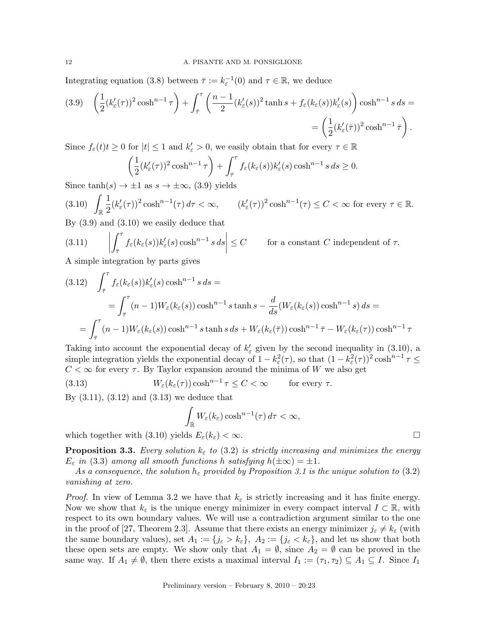Integrating equation (3.8) between  $\bar{\tau} := k_{\varepsilon}^{-1}(0)$  and  $\tau \in \mathbb{R}$ , we deduce

$$
(3.9) \quad \left(\frac{1}{2}(k'_{\varepsilon}(\tau))^2 \cosh^{n-1} \tau\right) + \int_{\overline{\tau}}^{\tau} \left(\frac{n-1}{2}(k'_{\varepsilon}(s))^2 \tanh s + f_{\varepsilon}(k_{\varepsilon}(s))k'_{\varepsilon}(s)\right) \cosh^{n-1} s \, ds =
$$

$$
= \left(\frac{1}{2}(k'_{\varepsilon}(\overline{\tau}))^2 \cosh^{n-1} \overline{\tau}\right).
$$

Since  $f_{\varepsilon}(t)t \geq 0$  for  $|t| \leq 1$  and  $k_{\varepsilon}' > 0$ , we easily obtain that for every  $\tau \in \mathbb{R}$ 

$$
\left(\frac{1}{2}(k'_{\varepsilon}(\tau))^2 \cosh^{n-1} \tau\right) + \int_{\bar{\tau}}^{\tau} f_{\varepsilon}(k_{\varepsilon}(s)) k'_{\varepsilon}(s) \cosh^{n-1} s \, ds \ge 0.
$$

Since  $\tanh(s) \rightarrow \pm 1$  as  $s \rightarrow \pm \infty$ , (3.9) yields

$$
(3.10)\quad \int_{\mathbb{R}} \frac{1}{2} (k_{\varepsilon}'(\tau))^2 \cosh^{n-1}(\tau) d\tau < \infty, \qquad (k_{\varepsilon}'(\tau))^2 \cosh^{n-1}(\tau) \le C < \infty \text{ for every } \tau \in \mathbb{R}.
$$

By (3.9) and (3.10) we easily deduce that

(3.11) 
$$
\left| \int_{\bar{\tau}}^{\tau} f_{\varepsilon}(k_{\varepsilon}(s)) k'_{\varepsilon}(s) \cosh^{n-1} s \, ds \right| \leq C \qquad \text{for a constant } C \text{ independent of } \tau.
$$

A simple integration by parts gives

$$
(3.12) \quad \int_{\bar{\tau}}^{\tau} f_{\varepsilon}(k_{\varepsilon}(s)) k_{\varepsilon}'(s) \cosh^{n-1} s \, ds =
$$
\n
$$
= \int_{\bar{\tau}}^{\tau} (n-1) W_{\varepsilon}(k_{\varepsilon}(s)) \cosh^{n-1} s \tanh s - \frac{d}{ds} (W_{\varepsilon}(k_{\varepsilon}(s)) \cosh^{n-1} s) \, ds =
$$
\n
$$
= \int_{\bar{\tau}}^{\tau} (n-1) W_{\varepsilon}(k_{\varepsilon}(s)) \cosh^{n-1} s \tanh s \, ds + W_{\varepsilon}(k_{\varepsilon}(\bar{\tau})) \cosh^{n-1} \bar{\tau} - W_{\varepsilon}(k_{\varepsilon}(\tau)) \cosh^{n-1} \tau
$$

Taking into account the exponential decay of  $k'_{\varepsilon}$  given by the second inequality in (3.10), a simple integration yields the exponential decay of  $1 - k_{\varepsilon}^2(\tau)$ , so that  $(1 - k_{\varepsilon}^2(\tau))^2 \cosh^{n-1} \tau \le$  $C < \infty$  for every  $\tau$ . By Taylor expansion around the minima of W we also get

(3.13) 
$$
W_{\varepsilon}(k_{\varepsilon}(\tau))\cosh^{n-1}\tau \leq C < \infty \quad \text{for every } \tau.
$$

By (3.11), (3.12) and (3.13) we deduce that

$$
\int_{\mathbb{R}} W_{\varepsilon}(k_{\varepsilon}) \cosh^{n-1}(\tau) d\tau < \infty,
$$

which together with (3.10) yields  $E_{\varepsilon}(k_{\varepsilon}) < \infty$ .

**Proposition 3.3.** Every solution  $k_{\varepsilon}$  to (3.2) is strictly increasing and minimizes the energy  $E_{\varepsilon}$  in (3.3) among all smooth functions h satisfying  $h(\pm\infty) = \pm 1$ .

As a consequence, the solution  $h_{\varepsilon}$  provided by Proposition 3.1 is the unique solution to (3.2) vanishing at zero.

*Proof.* In view of Lemma 3.2 we have that  $k_{\varepsilon}$  is strictly increasing and it has finite energy. Now we show that  $k_{\varepsilon}$  is the unique energy minimizer in every compact interval  $I \subset \mathbb{R}$ , with respect to its own boundary values. We will use a contradiction argument similar to the one in the proof of [27, Theorem 2.3]. Assume that there exists an energy minimizer  $j_{\varepsilon} \neq k_{\varepsilon}$  (with the same boundary values), set  $A_1 := \{j_{\varepsilon} > k_{\varepsilon}\}\$ ,  $A_2 := \{j_{\varepsilon} < k_{\varepsilon}\}\$ , and let us show that both these open sets are empty. We show only that  $A_1 = \emptyset$ , since  $A_2 = \emptyset$  can be proved in the same way. If  $A_1 \neq \emptyset$ , then there exists a maximal interval  $I_1 := (\tau_1, \tau_2) \subseteq A_1 \subseteq I$ . Since  $I_1$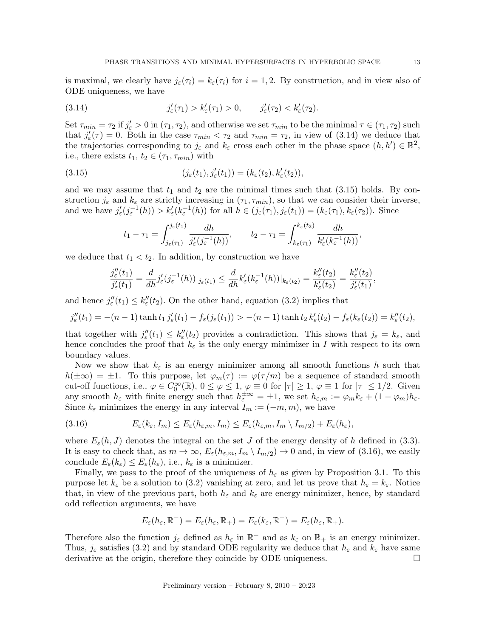is maximal, we clearly have  $j_{\varepsilon}(\tau_i) = k_{\varepsilon}(\tau_i)$  for  $i = 1, 2$ . By construction, and in view also of ODE uniqueness, we have

(3.14) 
$$
j'_{\varepsilon}(\tau_1) > k'_{\varepsilon}(\tau_1) > 0, \qquad j'_{\varepsilon}(\tau_2) < k'_{\varepsilon}(\tau_2).
$$

Set  $\tau_{min} = \tau_2$  if  $j'_{\varepsilon} > 0$  in  $(\tau_1, \tau_2)$ , and otherwise we set  $\tau_{min}$  to be the minimal  $\tau \in (\tau_1, \tau_2)$  such that  $j'_{\varepsilon}(\tau) = 0$ . Both in the case  $\tau_{min} < \tau_2$  and  $\tau_{min} = \tau_2$ , in view of (3.14) we deduce that the trajectories corresponding to  $j_{\varepsilon}$  and  $k_{\varepsilon}$  cross each other in the phase space  $(h, h') \in \mathbb{R}^2$ , i.e., there exists  $t_1, t_2 \in (\tau_1, \tau_{min})$  with

(3.15) 
$$
(j_{\varepsilon}(t_1), j'_{\varepsilon}(t_1)) = (k_{\varepsilon}(t_2), k'_{\varepsilon}(t_2)),
$$

and we may assume that  $t_1$  and  $t_2$  are the minimal times such that  $(3.15)$  holds. By construction  $j_{\varepsilon}$  and  $k_{\varepsilon}$  are strictly increasing in  $(\tau_1, \tau_{min})$ , so that we can consider their inverse, and we have  $j'_{\varepsilon}(j_{\varepsilon}^{-1}(h)) > k'_{\varepsilon}(k_{\varepsilon}^{-1}(h))$  for all  $h \in (j_{\varepsilon}(\tau_1), j_{\varepsilon}(t_1)) = (k_{\varepsilon}(\tau_1), k_{\varepsilon}(\tau_2))$ . Since

$$
t_1 - \tau_1 = \int_{j_{\varepsilon}(\tau_1)}^{j_{\varepsilon}(t_1)} \frac{dh}{j'_{\varepsilon}(j_{\varepsilon}^{-1}(h))}, \qquad t_2 - \tau_1 = \int_{k_{\varepsilon}(\tau_1)}^{k_{\varepsilon}(t_2)} \frac{dh}{k'_{\varepsilon}(k_{\varepsilon}^{-1}(h))},
$$

we deduce that  $t_1 < t_2$ . In addition, by construction we have

$$
\frac{j''_{\varepsilon}(t_1)}{j'_{\varepsilon}(t_1)} = \frac{d}{dh} j'_{\varepsilon}(j_{\varepsilon}^{-1}(h))|_{j_{\varepsilon}(t_1)} \le \frac{d}{dh} k'_{\varepsilon}(k_{\varepsilon}^{-1}(h))|_{k_{\varepsilon}(t_2)} = \frac{k''_{\varepsilon}(t_2)}{k'_{\varepsilon}(t_2)} = \frac{k''_{\varepsilon}(t_2)}{j'_{\varepsilon}(t_1)},
$$

and hence  $j''_{\varepsilon}(t_1) \leq k''_{\varepsilon}(t_2)$ . On the other hand, equation (3.2) implies that

$$
j''_{\varepsilon}(t_1) = -(n-1)\tanh t_1 j'_{\varepsilon}(t_1) - f_{\varepsilon}(j_{\varepsilon}(t_1)) > -(n-1)\tanh t_2 k'_{\varepsilon}(t_2) - f_{\varepsilon}(k_{\varepsilon}(t_2)) = k''_{\varepsilon}(t_2),
$$

that together with  $j''_{\varepsilon}(t_1) \leq k''_{\varepsilon}(t_2)$  provides a contradiction. This shows that  $j_{\varepsilon} = k_{\varepsilon}$ , and hence concludes the proof that  $k_{\varepsilon}$  is the only energy minimizer in I with respect to its own boundary values.

Now we show that  $k_{\varepsilon}$  is an energy minimizer among all smooth functions h such that  $h(\pm\infty) = \pm 1$ . To this purpose, let  $\varphi_m(\tau) := \varphi(\tau/m)$  be a sequence of standard smooth cut-off functions, i.e.,  $\varphi \in C_0^{\infty}(\mathbb{R})$ ,  $0 \le \varphi \le 1$ ,  $\varphi \equiv 0$  for  $|\tau| \ge 1$ ,  $\varphi \equiv 1$  for  $|\tau| \le 1/2$ . Given any smooth  $h_{\varepsilon}$  with finite energy such that  $h_{\varepsilon}^{\pm \infty} = \pm 1$ , we set  $h_{\varepsilon,m} := \varphi_m k_{\varepsilon} + (1 - \varphi_m)h_{\varepsilon}$ . Since  $k_{\varepsilon}$  minimizes the energy in any interval  $I_m := (-m, m)$ , we have

$$
(3.16) \t E_{\varepsilon}(k_{\varepsilon},I_m) \leq E_{\varepsilon}(h_{\varepsilon,m},I_m) \leq E_{\varepsilon}(h_{\varepsilon,m},I_m \setminus I_{m/2}) + E_{\varepsilon}(h_{\varepsilon}),
$$

where  $E_{\varepsilon}(h, J)$  denotes the integral on the set J of the energy density of h defined in (3.3). It is easy to check that, as  $m \to \infty$ ,  $E_{\varepsilon}(h_{\varepsilon,m}, I_m \setminus I_{m/2}) \to 0$  and, in view of (3.16), we easily conclude  $E_{\varepsilon}(k_{\varepsilon}) \leq E_{\varepsilon}(h_{\varepsilon}),$  i.e.,  $k_{\varepsilon}$  is a minimizer.

Finally, we pass to the proof of the uniqueness of  $h_{\varepsilon}$  as given by Proposition 3.1. To this purpose let  $k_{\varepsilon}$  be a solution to (3.2) vanishing at zero, and let us prove that  $h_{\varepsilon} = k_{\varepsilon}$ . Notice that, in view of the previous part, both  $h_{\varepsilon}$  and  $k_{\varepsilon}$  are energy minimizer, hence, by standard odd reflection arguments, we have

$$
E_{\varepsilon}(h_{\varepsilon},\mathbb{R}^-)=E_{\varepsilon}(h_{\varepsilon},\mathbb{R}_+)=E_{\varepsilon}(k_{\varepsilon},\mathbb{R}^-)=E_{\varepsilon}(h_{\varepsilon},\mathbb{R}_+).
$$

Therefore also the function  $j_{\varepsilon}$  defined as  $h_{\varepsilon}$  in  $\mathbb{R}^-$  and as  $k_{\varepsilon}$  on  $\mathbb{R}_+$  is an energy minimizer. Thus,  $j_{\varepsilon}$  satisfies (3.2) and by standard ODE regularity we deduce that  $h_{\varepsilon}$  and  $k_{\varepsilon}$  have same derivative at the origin, therefore they coincide by ODE uniqueness.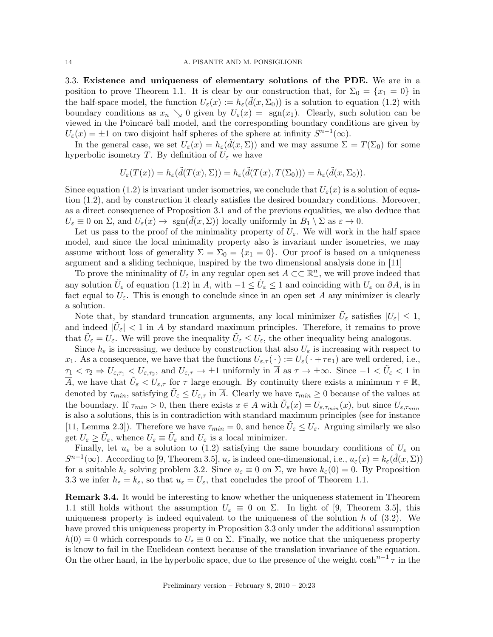3.3. Existence and uniqueness of elementary solutions of the PDE. We are in a position to prove Theorem 1.1. It is clear by our construction that, for  $\Sigma_0 = \{x_1 = 0\}$  in the half-space model, the function  $U_{\varepsilon}(x) := h_{\varepsilon}(\tilde{d}(x, \Sigma_0))$  is a solution to equation (1.2) with boundary conditions as  $x_n \searrow 0$  given by  $U_{\varepsilon}(x) = \text{sgn}(x_1)$ . Clearly, such solution can be viewed in the Poincaré ball model, and the corresponding boundary conditions are given by  $U_{\varepsilon}(x) = \pm 1$  on two disjoint half spheres of the sphere at infinity  $S^{n-1}(\infty)$ .

In the general case, we set  $U_{\varepsilon}(x) = h_{\varepsilon}(\tilde{d}(x,\Sigma))$  and we may assume  $\Sigma = T(\Sigma_0)$  for some hyperbolic isometry T. By definition of  $U_{\varepsilon}$  we have

$$
U_{\varepsilon}(T(x)) = h_{\varepsilon}(\tilde{d}(T(x), \Sigma)) = h_{\varepsilon}(\tilde{d}(T(x), T(\Sigma_0))) = h_{\varepsilon}(\tilde{d}(x, \Sigma_0)).
$$

Since equation (1.2) is invariant under isometries, we conclude that  $U_{\varepsilon}(x)$  is a solution of equation (1.2), and by construction it clearly satisfies the desired boundary conditions. Moreover, as a direct consequence of Proposition 3.1 and of the previous equalities, we also deduce that  $U_{\varepsilon} \equiv 0$  on  $\Sigma$ , and  $U_{\varepsilon}(x) \to \text{sgn}(d(x, \Sigma))$  locally uniformly in  $B_1 \setminus \Sigma$  as  $\varepsilon \to 0$ .

Let us pass to the proof of the minimality property of  $U_{\varepsilon}$ . We will work in the half space model, and since the local minimality property also is invariant under isometries, we may assume without loss of generality  $\Sigma = \Sigma_0 = \{x_1 = 0\}$ . Our proof is based on a uniqueness argument and a sliding technique, inspired by the two dimensional analysis done in [11]

To prove the minimality of  $U_{\varepsilon}$  in any regular open set  $A \subset \subset \mathbb{R}^n_+$ , we will prove indeed that any solution  $\tilde{U}_\varepsilon$  of equation (1.2) in A, with  $-1 \le \tilde{U}_\varepsilon \le 1$  and coinciding with  $U_\varepsilon$  on  $\partial A$ , is in fact equal to  $U_{\varepsilon}$ . This is enough to conclude since in an open set A any minimizer is clearly a solution.

Note that, by standard truncation arguments, any local minimizer  $\tilde{U}_{\varepsilon}$  satisfies  $|U_{\varepsilon}| \leq 1$ , and indeed  $|\tilde{U}_{\varepsilon}| < 1$  in  $\overline{A}$  by standard maximum principles. Therefore, it remains to prove that  $\tilde{U}_{\varepsilon} = U_{\varepsilon}$ . We will prove the inequality  $\tilde{U}_{\varepsilon} \leq U_{\varepsilon}$ , the other inequality being analogous.

Since  $h_{\varepsilon}$  is increasing, we deduce by construction that also  $U_{\varepsilon}$  is increasing with respect to x<sub>1</sub>. As a consequence, we have that the functions  $U_{\varepsilon,\tau}(\cdot) := U_{\varepsilon}(\cdot + \tau e_1)$  are well ordered, i.e.,  $\tau_1 < \tau_2 \Rightarrow U_{\varepsilon,\tau_1} < U_{\varepsilon,\tau_2}$ , and  $U_{\varepsilon,\tau} \to \pm 1$  uniformly in  $\overline{A}$  as  $\tau \to \pm \infty$ . Since  $-1 < \tilde{U}_{\varepsilon} < 1$  in  $\overline{A}$ , we have that  $\tilde{U}_{\varepsilon} < U_{\varepsilon,\tau}$  for  $\tau$  large enough. By continuity there exists a minimum  $\tau \in \mathbb{R}$ , denoted by  $\tau_{min}$ , satisfying  $\tilde{U}_{\varepsilon} \leq U_{\varepsilon,\tau}$  in  $\overline{A}$ . Clearly we have  $\tau_{min} \geq 0$  because of the values at the boundary. If  $\tau_{min} > 0$ , then there exists  $x \in A$  with  $\tilde{U}_{\varepsilon}(x) = U_{\varepsilon, \tau_{min}}(x)$ , but since  $U_{\varepsilon, \tau_{min}}$ is also a solutions, this is in contradiction with standard maximum principles (see for instance [11, Lemma 2.3]). Therefore we have  $\tau_{min} = 0$ , and hence  $\tilde{U}_{\varepsilon} \leq U_{\varepsilon}$ . Arguing similarly we also get  $U_{\varepsilon} \ge \tilde{U}_{\varepsilon}$ , whence  $U_{\varepsilon} \equiv \tilde{U}_{\varepsilon}$  and  $U_{\varepsilon}$  is a local minimizer.

Finally, let  $u_{\varepsilon}$  be a solution to (1.2) satisfying the same boundary conditions of  $U_{\varepsilon}$  on  $S^{n-1}(\infty)$ . According to [9, Theorem 3.5],  $u_{\varepsilon}$  is indeed one-dimensional, i.e.,  $u_{\varepsilon}(x) = k_{\varepsilon}(\tilde{d}(x,\Sigma))$ for a suitable  $k_{\varepsilon}$  solving problem 3.2. Since  $u_{\varepsilon} \equiv 0$  on  $\Sigma$ , we have  $k_{\varepsilon}(0) = 0$ . By Proposition 3.3 we infer  $h_{\varepsilon} = k_{\varepsilon}$ , so that  $u_{\varepsilon} = U_{\varepsilon}$ , that concludes the proof of Theorem 1.1.

Remark 3.4. It would be interesting to know whether the uniqueness statement in Theorem 1.1 still holds without the assumption  $U_{\varepsilon} \equiv 0$  on  $\Sigma$ . In light of [9, Theorem 3.5], this uniqueness property is indeed equivalent to the uniqueness of the solution  $h$  of (3.2). We have proved this uniqueness property in Proposition 3.3 only under the additional assumption  $h(0) = 0$  which corresponds to  $U_{\varepsilon} \equiv 0$  on  $\Sigma$ . Finally, we notice that the uniqueness property is know to fail in the Euclidean context because of the translation invariance of the equation. On the other hand, in the hyperbolic space, due to the presence of the weight  $\cosh^{n-1} \tau$  in the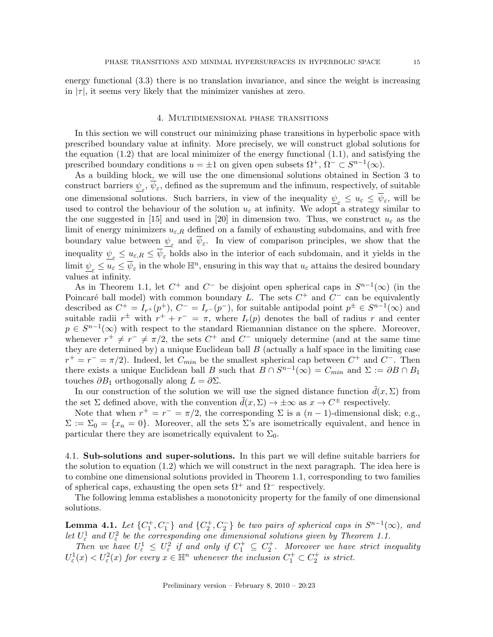energy functional (3.3) there is no translation invariance, and since the weight is increasing in  $|\tau|$ , it seems very likely that the minimizer vanishes at zero.

### 4. Multidimensional phase transitions

In this section we will construct our minimizing phase transitions in hyperbolic space with prescribed boundary value at infinity. More precisely, we will construct global solutions for the equation (1.2) that are local minimizer of the energy functional (1.1), and satisfying the prescribed boundary conditions  $u = \pm 1$  on given open subsets  $\Omega^+$ ,  $\Omega^- \subset S^{n-1}(\infty)$ .

As a building block, we will use the one dimensional solutions obtained in Section 3 to construct barriers  $\underline{\psi}_{\varepsilon}$ ,  $\psi_{\varepsilon}$ , defined as the supremum and the infimum, respectively, of suitable one dimensional solutions. Such barriers, in view of the inequality  $\psi_{\varepsilon} \leq u_{\varepsilon} \leq \overline{\psi}_{\varepsilon}$ , will be used to control the behaviour of the solution  $u_{\varepsilon}$  at infinity. We adopt a strategy similar to the one suggested in [15] and used in [20] in dimension two. Thus, we construct  $u_{\varepsilon}$  as the limit of energy minimizers  $u_{\varepsilon,R}$  defined on a family of exhausting subdomains, and with free boundary value between  $\psi_{\varepsilon}$  and  $\psi_{\varepsilon}$ . In view of comparison principles, we show that the inequality  $\underline{\psi}_{\varepsilon} \le u_{\varepsilon,R} \le \psi_{\varepsilon}$  holds also in the interior of each subdomain, and it yields in the  $\lim_{\epsilon \to 0} \frac{1}{\psi_{\epsilon}} \le u_{\epsilon} \le \overline{\psi}_{\epsilon}$  in the whole  $\mathbb{H}^n$ , ensuring in this way that  $u_{\epsilon}$  attains the desired boundary values at infinity.

As in Theorem 1.1, let  $C^+$  and  $C^-$  be disjoint open spherical caps in  $S^{n-1}(\infty)$  (in the Poincaré ball model) with common boundary L. The sets  $C^+$  and  $C^-$  can be equivalently described as  $C^+ = I_{r+}(p^+), C^- = I_{r-}(p^-),$  for suitable antipodal point  $p^{\pm} \in S^{n-1}(\infty)$  and suitable radii  $r^{\pm}$  with  $r^{+} + r^{-} = \pi$ , where  $I_r(p)$  denotes the ball of radius r and center  $p \in S^{n-1}(\infty)$  with respect to the standard Riemannian distance on the sphere. Moreover, whenever  $r^+ \neq r^- \neq \pi/2$ , the sets  $C^+$  and  $C^-$  uniquely determine (and at the same time they are determined by) a unique Euclidean ball  $B$  (actually a half space in the limiting case  $r^+ = r^- = \pi/2$ ). Indeed, let  $C_{min}$  be the smallest spherical cap between  $C^+$  and  $C^-$ . Then there exists a unique Euclidean ball B such that  $B \cap S^{n-1}(\infty) = C_{min}$  and  $\Sigma := \partial B \cap B_1$ touches  $\partial B_1$  orthogonally along  $L = \partial \Sigma$ .

In our construction of the solution we will use the signed distance function  $\tilde{d}(x, \Sigma)$  from the set  $\Sigma$  defined above, with the convention  $\tilde{d}(x,\Sigma) \to \pm \infty$  as  $x \to C^{\pm}$  respectively.

Note that when  $r^+ = r^- = \pi/2$ , the corresponding  $\Sigma$  is a  $(n-1)$ -dimensional disk; e.g.,  $\Sigma := \Sigma_0 = \{x_n = 0\}.$  Moreover, all the sets  $\Sigma$ 's are isometrically equivalent, and hence in particular there they are isometrically equivalent to  $\Sigma_0$ .

4.1. Sub-solutions and super-solutions. In this part we will define suitable barriers for the solution to equation (1.2) which we will construct in the next paragraph. The idea here is to combine one dimensional solutions provided in Theorem 1.1, corresponding to two families of spherical caps, exhausting the open sets  $\Omega^+$  and  $\Omega^-$  respectively.

The following lemma establishes a monotonicity property for the family of one dimensional solutions.

**Lemma 4.1.** Let  $\{C_1^+, C_1^-\}$  and  $\{C_2^+, C_2^-\}$  be two pairs of spherical caps in  $S^{n-1}(\infty)$ , and **Let**  $U_{\varepsilon}^1$  and  $U_{\varepsilon}^2$  be the corresponding one dimensional solutions given by Theorem 1.1.

Then we have  $U_{\varepsilon}^1 \leq U_{\varepsilon}^2$  if and only if  $C_1^+ \subseteq C_2^+$ . Moreover we have strict inequality  $U_{\varepsilon}^{1}(x) < U_{\varepsilon}^{2}(x)$  for every  $x \in \mathbb{H}^{n}$  whenever the inclusion  $C_{1}^{+} \subset C_{2}^{+}$  is strict.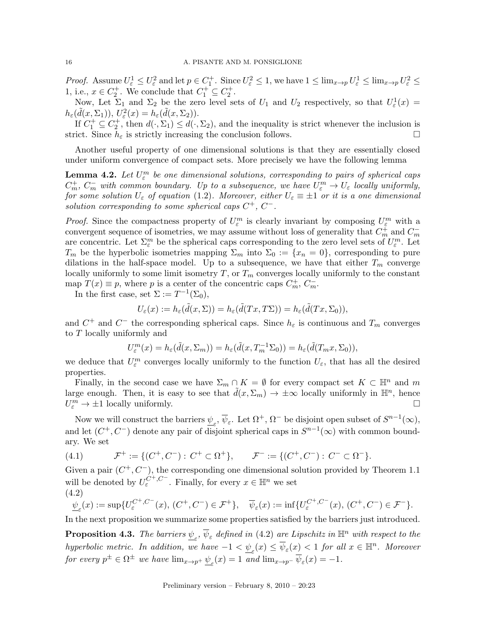*Proof.* Assume  $U_{\varepsilon}^1 \leq U_{\varepsilon}^2$  and let  $p \in C_1^+$ . Since  $U_{\varepsilon}^2 \leq 1$ , we have  $1 \leq \lim_{x\to p} U_{\varepsilon}^1 \leq \lim_{x\to p} U_{\varepsilon}^2 \leq$ 1, i.e.,  $x \in C_2^+$ . We conclude that  $C_1^+ \subseteq C_2^+$ .

Now, Let  $\Sigma_1$  and  $\Sigma_2$  be the zero level sets of  $U_1$  and  $U_2$  respectively, so that  $U_{\varepsilon}^1(x) =$  $h_{\varepsilon}(\tilde{d}(x,\Sigma_1)), U_{\varepsilon}^2(x) = h_{\varepsilon}(\tilde{d}(x,\Sigma_2)).$ 

If  $C_1^+ \subseteq C_2^+$ , then  $d(\cdot, \Sigma_1) \leq d(\cdot, \Sigma_2)$ , and the inequality is strict whenever the inclusion is strict. Since  $h_{\varepsilon}$  is strictly increasing the conclusion follows.

Another useful property of one dimensional solutions is that they are essentially closed under uniform convergence of compact sets. More precisely we have the following lemma

**Lemma 4.2.** Let  $U_{\varepsilon}^m$  be one dimensional solutions, corresponding to pairs of spherical caps  $C_m^+$ ,  $C_m^-$  with common boundary. Up to a subsequence, we have  $U_{\varepsilon}^m \to U_{\varepsilon}$  locally uniformly, for some solution  $U_{\varepsilon}$  of equation (1.2). Moreover, either  $U_{\varepsilon} \equiv \pm 1$  or it is a one dimensional solution corresponding to some spherical caps  $C^+$ ,  $C^-$ .

*Proof.* Since the compactness property of  $U_{\varepsilon}^{m}$  is clearly invariant by composing  $U_{\varepsilon}^{m}$  with a convergent sequence of isometries, we may assume without loss of generality that  $C_m^{\dagger}$  and  $C_m^$ are concentric. Let  $\Sigma_{\varepsilon}^{m}$  be the spherical caps corresponding to the zero level sets of  $U_{\varepsilon}^{m}$ . Let  $T_m$  be the hyperbolic isometries mapping  $\Sigma_m$  into  $\Sigma_0 := \{x_n = 0\}$ , corresponding to pure dilations in the half-space model. Up to a subsequence, we have that either  $T_m$  converge locally uniformly to some limit isometry  $T$ , or  $T_m$  converges locally uniformly to the constant map  $T(x) \equiv p$ , where p is a center of the concentric caps  $C_m^+$ ,  $C_m^-$ .

In the first case, set  $\Sigma := T^{-1}(\Sigma_0)$ ,

$$
U_{\varepsilon}(x):=h_{\varepsilon}(\tilde{d}(x,\Sigma))=h_{\varepsilon}(\tilde{d}(Tx,T\Sigma))=h_{\varepsilon}(\tilde{d}(Tx,\Sigma_0)),
$$

and  $C^+$  and  $C^-$  the corresponding spherical caps. Since  $h_{\varepsilon}$  is continuous and  $T_m$  converges to T locally uniformly and

$$
U_{\varepsilon}^m(x)=h_{\varepsilon}(\tilde{d}(x,\Sigma_m))=h_{\varepsilon}(\tilde{d}(x,T_m^{-1}\Sigma_0))=h_{\varepsilon}(\tilde{d}(T_mx,\Sigma_0)),
$$

we deduce that  $U_{\varepsilon}^{m}$  converges locally uniformly to the function  $U_{\varepsilon}$ , that has all the desired properties.

Finally, in the second case we have  $\Sigma_m \cap K = \emptyset$  for every compact set  $K \subset \mathbb{H}^n$  and m large enough. Then, it is easy to see that  $\tilde{d}(x,\Sigma_m) \to \pm \infty$  locally uniformly in  $\mathbb{H}^n$ , hence  $U_{\varepsilon}^m \to \pm 1$  locally uniformly.

Now we will construct the barriers  $\psi_{\varepsilon}$ ,  $\overline{\psi}_{\varepsilon}$ . Let  $\Omega^+$ ,  $\Omega^-$  be disjoint open subset of  $S^{n-1}(\infty)$ , and let  $(C^+, C^-)$  denote any pair of disjoint spherical caps in  $S^{n-1}(\infty)$  with common boundary. We set

(4.1) 
$$
\mathcal{F}^+ := \{ (C^+, C^-) : C^+ \subset \Omega^+ \}, \qquad \mathcal{F}^- := \{ (C^+, C^-) : C^- \subset \Omega^- \}.
$$

Given a pair  $(C^+, C^-)$ , the corresponding one dimensional solution provided by Theorem 1.1 will be denoted by  $U_{\varepsilon}^{C^+, C^-}$ . Finally, for every  $x \in \mathbb{H}^n$  we set (4.2)

$$
\underline{\psi}_{\varepsilon}(x) := \sup \{ U_{\varepsilon}^{C^+,C^-}(x), (C^+,C^-) \in \mathcal{F}^+ \}, \quad \overline{\psi}_{\varepsilon}(x) := \inf \{ U_{\varepsilon}^{C^+,C^-}(x), (C^+,C^-) \in \mathcal{F}^- \}.
$$

In the next proposition we summarize some properties satisfied by the barriers just introduced.

**Proposition 4.3.** The barriers  $\underline{\psi}_{\varepsilon}$ ,  $\overline{\psi}_{\varepsilon}$  defined in (4.2) are Lipschitz in  $\mathbb{H}^n$  with respect to the hyperbolic metric. In addition, we have  $-1 < \underline{\psi}_{\varepsilon}(x) \le \overline{\psi}_{\varepsilon}(x) < 1$  for all  $x \in \mathbb{H}^n$ . Moreover for every  $p^{\pm} \in \Omega^{\pm}$  we have  $\lim_{x \to p^{+}} \underline{\psi}_{\varepsilon}(x) = 1$  and  $\lim_{x \to p^{-}} \overline{\psi}_{\varepsilon}(x) = -1$ .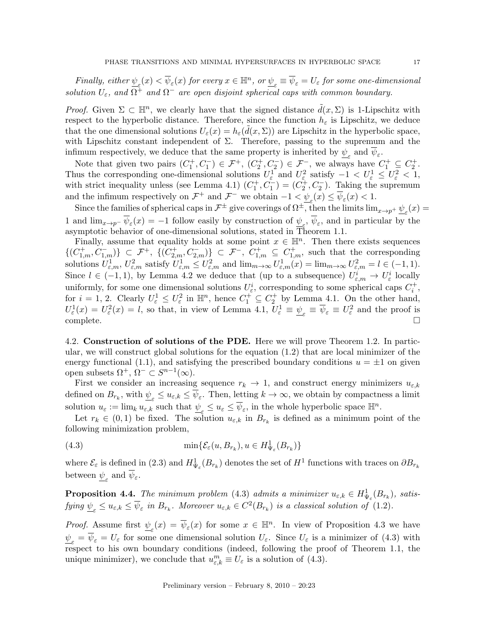Finally, either  $\underline{\psi}_{\varepsilon}(x)<\overline{\psi}_{\varepsilon}(x)$  for every  $x\in \mathbb{H}^n$ , or  $\underline{\psi}_{\varepsilon}\equiv\overline{\psi}_{\varepsilon}=U_{\varepsilon}$  for some one-dimensional solution  $U_{\varepsilon}$ , and  $\Omega^+$  and  $\Omega^-$  are open disjoint spherical caps with common boundary.

*Proof.* Given  $\Sigma \subset \mathbb{H}^n$ , we clearly have that the signed distance  $\tilde{d}(x, \Sigma)$  is 1-Lipschitz with respect to the hyperbolic distance. Therefore, since the function  $h_{\varepsilon}$  is Lipschitz, we deduce that the one dimensional solutions  $U_{\varepsilon}(x) = h_{\varepsilon}(\tilde{d}(x,\Sigma))$  are Lipschitz in the hyperbolic space, with Lipschitz constant independent of  $\Sigma$ . Therefore, passing to the supremum and the infimum respectively, we deduce that the same property is inherited by  $\underline{\psi}_{\varepsilon}$  and  $\psi_{\varepsilon}$ .

Note that given two pairs  $(C_1^+, C_1^-) \in \mathcal{F}^+$ ,  $(C_2^+, C_2^-) \in \mathcal{F}^-$ , we always have  $C_1^+ \subseteq C_2^+$ . Thus the corresponding one-dimensional solutions  $U_{\varepsilon}^1$  and  $U_{\varepsilon}^2$  satisfy  $-1 < U_{\varepsilon}^1 \leq U_{\varepsilon}^2 < 1$ , with strict inequality unless (see Lemma 4.1)  $(C_1^+, C_1^-) = (C_2^+, C_2^-)$ . Taking the supremum and the infimum respectively on  $\mathcal{F}^+$  and  $\mathcal{F}^-$  we obtain  $-1 < \underline{\psi}_{\varepsilon}(x) \le \overline{\psi}_{\varepsilon}(x) < 1$ .

Since the families of spherical caps in  $\mathcal{F}^{\pm}$  give coverings of  $\Omega^{\pm}$ , then the limits  $\lim_{x\to p^+}\underline{\psi}_\varepsilon(x)$ 1 and  $\lim_{x\to p^-} \psi_{\varepsilon}(x) = -1$  follow easily by construction of  $\psi_{\varepsilon}$ ,  $\psi_{\varepsilon}$ , and in particular by the asymptotic behavior of one-dimensional solutions, stated in Theorem 1.1.

Finally, assume that equality holds at some point  $x \in \mathbb{H}^n$ . Then there exists sequences  $\{(C^+_{1,m}, C^-_{1,m})\}\subset \mathcal{F}^+$ ,  $\{(C^+_{2,m}, C^-_{2,m})\}\subset \mathcal{F}^-$ ,  $C^+_{1,m}\subseteq C^+_{1,m}$ , such that the corresponding solutions  $U_{\varepsilon,m}^1, U_{\varepsilon,m}^2$  satisfy  $U_{\varepsilon,m}^1 \leq U_{\varepsilon,m}^2$  and  $\lim_{m\to\infty} U_{\varepsilon,m}^1(x) = \lim_{m\to\infty} U_{\varepsilon,m}^2 = l \in (-1,1)$ . Since  $l \in (-1,1)$ , by Lemma 4.2 we deduce that (up to a subsequence)  $U_{\varepsilon,m}^i \to U_{\varepsilon}^i$  locally uniformly, for some one dimensional solutions  $U_{\varepsilon}^i$ , corresponding to some spherical caps  $C_i^+$ , for  $i = 1, 2$ . Clearly  $U_{\varepsilon}^1 \leq U_{\varepsilon}^2$  in  $\mathbb{H}^n$ , hence  $C_1^{\dagger} \subseteq C_2^{\dagger}$  by Lemma 4.1. On the other hand,  $U_{\varepsilon}^{1}(x) = U_{\varepsilon}^{2}(x) = l$ , so that, in view of Lemma 4.1,  $U_{\varepsilon}^{1} \equiv \underline{\psi}_{\varepsilon} \equiv \overline{\psi}_{\varepsilon} \equiv U_{\varepsilon}^{2}$  and the proof is  $\Box$ complete.

4.2. Construction of solutions of the PDE. Here we will prove Theorem 1.2. In particular, we will construct global solutions for the equation (1.2) that are local minimizer of the energy functional (1.1), and satisfying the prescribed boundary conditions  $u = \pm 1$  on given open subsets  $\Omega^+$ ,  $\Omega^- \subset S^{n-1}(\infty)$ .

First we consider an increasing sequence  $r_k \to 1$ , and construct energy minimizers  $u_{\varepsilon,k}$ defined on  $B_{r_k}$ , with  $\underline{\psi}_{\varepsilon} \leq u_{\varepsilon,k} \leq \psi_{\varepsilon}$ . Then, letting  $k \to \infty$ , we obtain by compactness a limit solution  $u_{\varepsilon} := \lim_{k} u_{\varepsilon,k}$  such that  $\underline{\psi}_{\varepsilon} \le u_{\varepsilon} \le \overline{\psi}_{\varepsilon}$ , in the whole hyperbolic space  $\mathbb{H}^n$ .

Let  $r_k \in (0,1)$  be fixed. The solution  $u_{\varepsilon,k}$  in  $B_{r_k}$  is defined as a minimum point of the following minimization problem,

(4.3) 
$$
\min\{\mathcal{E}_{\varepsilon}(u,B_{r_k}),u\in H^1_{\Psi_{\varepsilon}}(B_{r_k})\}
$$

where  $\mathcal{E}_{\varepsilon}$  is defined in (2.3) and  $H^1_{\Psi_{\varepsilon}}(B_{r_k})$  denotes the set of  $H^1$  functions with traces on  $\partial B_{r_k}$ between  $\underline{\psi}_{\varepsilon}$  and  $\psi_{\varepsilon}$ .

**Proposition 4.4.** The minimum problem (4.3) admits a minimizer  $u_{\varepsilon,k} \in H^1_{\Psi_{\varepsilon}}(B_{r_k})$ , satisfying  $\underline{\psi}_{\varepsilon} \le u_{\varepsilon,k} \le \overline{\psi}_{\varepsilon}$  in  $B_{r_k}$ . Moreover  $u_{\varepsilon,k} \in C^2(B_{r_k})$  is a classical solution of  $(1.2)$ .

*Proof.* Assume first  $\psi_{\varepsilon}(x) = \overline{\psi}_{\varepsilon}(x)$  for some  $x \in \mathbb{H}^n$ . In view of Proposition 4.3 we have  $\psi_{\varepsilon} = \psi_{\varepsilon} = U_{\varepsilon}$  for some one dimensional solution  $U_{\varepsilon}$ . Since  $U_{\varepsilon}$  is a minimizer of (4.3) with respect to his own boundary conditions (indeed, following the proof of Theorem 1.1, the unique minimizer), we conclude that  $u_{\varepsilon,k}^m \equiv U_\varepsilon$  is a solution of (4.3).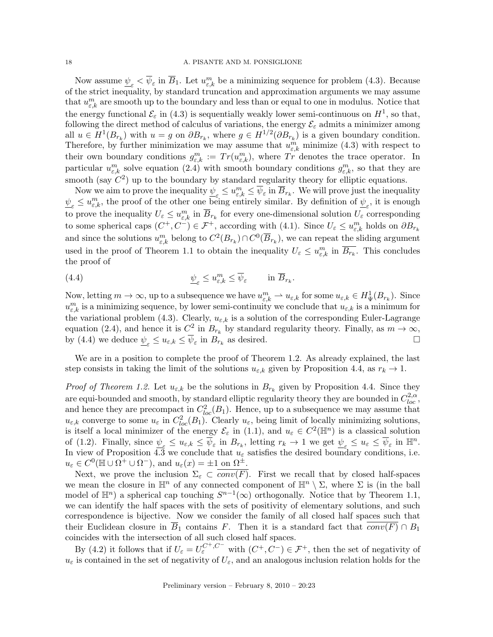Now assume  $\psi_{\varepsilon} < \overline{\psi}_{\varepsilon}$  in  $\overline{B}_1$ . Let  $u_{\varepsilon,k}^m$  be a minimizing sequence for problem (4.3). Because of the strict inequality, by standard truncation and approximation arguments we may assume that  $u_{\varepsilon,k}^m$  are smooth up to the boundary and less than or equal to one in modulus. Notice that the energy functional  $\mathcal{E}_{\varepsilon}$  in (4.3) is sequentially weakly lower semi-continuous on  $H^1$ , so that, following the direct method of calculus of variations, the energy  $\mathcal{E}_{\varepsilon}$  admits a minimizer among all  $u \in H^1(B_{r_k})$  with  $u = g$  on  $\partial B_{r_k}$ , where  $g \in H^{1/2}(\partial B_{r_k})$  is a given boundary condition. Therefore, by further minimization we may assume that  $u_{\varepsilon,k}^m$  minimize (4.3) with respect to their own boundary conditions  $g_{\varepsilon,k}^m := Tr(u_{\varepsilon,k}^m)$ , where  $Tr$  denotes the trace operator. In particular  $u_{\varepsilon,k}^m$  solve equation  $(2.4)$  with smooth boundary conditions  $g_{\varepsilon,k}^m$ , so that they are smooth (say  $C^2$ ) up to the boundary by standard regularity theory for elliptic equations.

Now we aim to prove the inequality  $\underline{\psi}_{\varepsilon} \leq u_{\varepsilon,k}^m \leq \overline{\psi}_{\varepsilon}$  in  $\overline{B}_{r_k}$ . We will prove just the inequality  $\psi_{\varepsilon} \leq u_{\varepsilon,k}^m$ , the proof of the other one being entirely similar. By definition of  $\psi_{\varepsilon}$ , it is enough to prove the inequality  $U_{\varepsilon} \le u_{\varepsilon,k}^m$  in  $\overline{B}_{r_k}$  for every one-dimensional solution  $U_{\varepsilon}$  corresponding to some spherical caps  $(C^+, C^-) \in \mathcal{F}^+$ , according with (4.1). Since  $U_\varepsilon \le u_{\varepsilon,k}^m$  holds on  $\partial B_{r_k}$ and since the solutions  $u_{\varepsilon,k}^m$  belong to  $C^2(B_{r_k}) \cap C^0(\overline{B}_{r_k})$ , we can repeat the sliding argument used in the proof of Theorem 1.1 to obtain the inequality  $U_{\varepsilon} \leq u_{\varepsilon,k}^m$  in  $\overline{B_{r_k}}$ . This concludes the proof of

(4.4) 
$$
\psi_{\varepsilon} \le u_{\varepsilon,k}^m \le \overline{\psi}_{\varepsilon} \quad \text{in } \overline{B}_{r_k}.
$$

Now, letting  $m \to \infty$ , up to a subsequence we have  $u_{\varepsilon,k}^m \rightharpoonup u_{\varepsilon,k}$  for some  $u_{\varepsilon,k} \in H^1_{\Psi}(B_{r_k})$ . Since  $u_{\varepsilon,k}^m$  is a minimizing sequence, by lower semi-continuity we conclude that  $u_{\varepsilon,k}$  is a minimum for the variational problem (4.3). Clearly,  $u_{\varepsilon,k}$  is a solution of the corresponding Euler-Lagrange equation (2.4), and hence it is  $C^2$  in  $B_{r_k}$  by standard regularity theory. Finally, as  $m \to \infty$ , by (4.4) we deduce  $\underline{\psi}_{\varepsilon} \le u_{\varepsilon,k} \le \overline{\psi}_{\varepsilon}$  in  $B_{r_k}$  as desired.

We are in a position to complete the proof of Theorem 1.2. As already explained, the last step consists in taking the limit of the solutions  $u_{\varepsilon,k}$  given by Proposition 4.4, as  $r_k \to 1$ .

*Proof of Theorem 1.2.* Let  $u_{\varepsilon,k}$  be the solutions in  $B_{r_k}$  given by Proposition 4.4. Since they are equi-bounded and smooth, by standard elliptic regularity theory they are bounded in  $C_{loc}^{2,\alpha}$ , and hence they are precompact in  $C_{loc}^2(B_1)$ . Hence, up to a subsequence we may assume that  $u_{\varepsilon,k}$  converge to some  $u_{\varepsilon}$  in  $C^2_{loc}(B_1)$ . Clearly  $u_{\varepsilon}$ , being limit of locally minimizing solutions, is itself a local minimizer of the energy  $\mathcal{E}_{\varepsilon}$  in (1.1), and  $u_{\varepsilon} \in C^2(\mathbb{H}^n)$  is a classical solution of (1.2). Finally, since  $\underline{\psi}_{\varepsilon} \leq u_{\varepsilon,k} \leq \overline{\psi}_{\varepsilon}$  in  $B_{r_k}$ , letting  $r_k \to 1$  we get  $\underline{\psi}_{\varepsilon} \leq u_{\varepsilon} \leq \overline{\psi}_{\varepsilon}$  in  $\mathbb{H}^n$ . In view of Proposition 4.3 we conclude that  $u_{\varepsilon}$  satisfies the desired boundary conditions, i.e.  $u_{\varepsilon} \in C^0(\mathbb{H} \cup \Omega^+) \cup \Omega^-), \text{ and } u_{\varepsilon}(x) = \pm 1 \text{ on } \Omega^{\pm}.$ 

Next, we prove the inclusion  $\Sigma_{\varepsilon} \subset \overline{conv(F)}$ . First we recall that by closed half-spaces we mean the closure in  $\mathbb{H}^n$  of any connected component of  $\mathbb{H}^n \setminus \Sigma$ , where  $\Sigma$  is (in the ball model of  $\mathbb{H}^n$ ) a spherical cap touching  $S^{n-1}(\infty)$  orthogonally. Notice that by Theorem 1.1, we can identify the half spaces with the sets of positivity of elementary solutions, and such correspondence is bijective. Now we consider the family of all closed half spaces such that their Euclidean closure in  $\overline{B}_1$  contains F. Then it is a standard fact that  $conv(F) \cap B_1$ coincides with the intersection of all such closed half spaces.

By (4.2) it follows that if  $U_{\varepsilon} = U_{\varepsilon}^{C^+, C^-}$  with  $(C^+, C^-) \in \mathcal{F}^+$ , then the set of negativity of  $u_{\varepsilon}$  is contained in the set of negativity of  $U_{\varepsilon}$ , and an analogous inclusion relation holds for the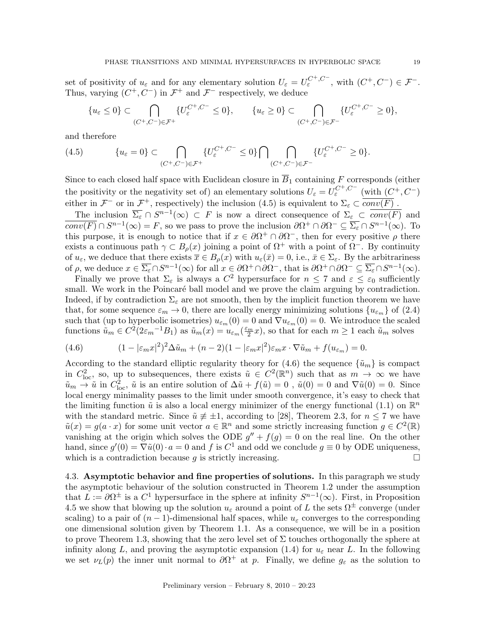set of positivity of  $u_{\varepsilon}$  and for any elementary solution  $U_{\varepsilon} = U_{\varepsilon}^{C^+, C^-}$ , with  $(C^+, C^-) \in \mathcal{F}^-$ . Thus, varying  $(C^+, C^-)$  in  $\mathcal{F}^+$  and  $\mathcal{F}^-$  respectively, we deduce

$$
\{u_{\varepsilon} \leq 0\} \subset \bigcap_{(C^+,C^-)\in \mathcal{F}^+} \{U_{\varepsilon}^{C^+,C^-} \leq 0\}, \qquad \{u_{\varepsilon} \geq 0\} \subset \bigcap_{(C^+,C^-)\in \mathcal{F}^-} \{U_{\varepsilon}^{C^+,C^-} \geq 0\},\
$$

and therefore

$$
(4.5) \qquad \{u_{\varepsilon}=0\} \subset \bigcap_{(C^+,C^-)\in \mathcal{F}^+} \{U_{\varepsilon}^{C^+,C^-} \leq 0\} \bigcap \bigcap_{(C^+,C^-)\in \mathcal{F}^-} \{U_{\varepsilon}^{C^+,C^-} \geq 0\}.
$$

Since to each closed half space with Euclidean closure in  $\overline{B}_1$  containing F corresponds (either the positivity or the negativity set of) an elementary solutions  $U_{\varepsilon} = U_{\varepsilon}^{C^+, C^-}$  (with  $(C^+, C^-)$ ) either in  $\mathcal{F}^-$  or in  $\mathcal{F}^+$ , respectively) the inclusion (4.5) is equivalent to  $\Sigma_{\varepsilon} \subset \overline{conv(F)}$ .

The inclusion  $\overline{\Sigma_{\varepsilon}} \cap S^{n-1}(\infty) \subset F$  is now a direct consequence of  $\Sigma_{\varepsilon} \subset \overline{conv(F)}$  and  $\overline{conv(F)} \cap S^{n-1}(\infty) = F$ , so we pass to prove the inclusion  $\partial \Omega^+ \cap \partial \Omega^- \subseteq \overline{\Sigma_{\varepsilon}} \cap S^{n-1}(\infty)$ . To this purpose, it is enough to notice that if  $x \in \partial\Omega^+ \cap \partial\Omega^-$ , then for every positive  $\rho$  there exists a continuous path  $\gamma \subset B_{\rho}(x)$  joining a point of  $\Omega^+$  with a point of  $\Omega^-$ . By continuity of  $u_{\varepsilon}$ , we deduce that there exists  $\overline{x} \in B_{\rho}(x)$  with  $u_{\varepsilon}(\overline{x}) = 0$ , i.e.,  $\overline{x} \in \Sigma_{\varepsilon}$ . By the arbitrariness of  $\rho$ , we deduce  $x \in \overline{\Sigma_{\varepsilon}} \cap S^{n-1}(\infty)$  for all  $x \in \partial \Omega^+ \cap \partial \Omega^-$ , that is  $\partial \Omega^+ \cap \partial \Omega^- \subseteq \overline{\Sigma_{\varepsilon}} \cap S^{n-1}(\infty)$ .

Finally we prove that  $\Sigma_{\varepsilon}$  is always a  $C^2$  hypersurface for  $n \leq 7$  and  $\varepsilon \leq \varepsilon_0$  sufficiently small. We work in the Poincaré ball model and we prove the claim arguing by contradiction. Indeed, if by contradiction  $\Sigma_{\varepsilon}$  are not smooth, then by the implicit function theorem we have that, for some sequence  $\varepsilon_m \to 0$ , there are locally energy minimizing solutions  $\{u_{\varepsilon_m}\}\$  of (2.4) such that (up to hyperbolic isometries)  $u_{\epsilon_m}(0) = 0$  and  $\nabla u_{\epsilon_m}(0) = 0$ . We introduce the scaled functions  $\tilde{u}_m \in C^2(2\varepsilon_m^{-1}B_1)$  as  $\tilde{u}_m(x) = u_{\varepsilon_m}(\frac{\varepsilon_m}{2}x)$ , so that for each  $m \ge 1$  each  $\tilde{u}_m$  solves

(4.6) 
$$
(1 - |\varepsilon_m x|^2)^2 \Delta \tilde{u}_m + (n-2)(1 - |\varepsilon_m x|^2) \varepsilon_m x \cdot \nabla \tilde{u}_m + f(u_{\varepsilon_m}) = 0.
$$

According to the standard elliptic regularity theory for (4.6) the sequence  $\{\tilde{u}_m\}$  is compact in  $C_{\text{loc}}^2$ , so, up to subsequences, there exists  $\tilde{u} \in C^2(\mathbb{R}^n)$  such that as  $m \to \infty$  we have  $\tilde{u}_m \to \tilde{u}$  in  $C_{\text{loc}}^2$ ,  $\tilde{u}$  is an entire solution of  $\Delta \tilde{u} + f(\tilde{u}) = 0$ ,  $\tilde{u}(0) = 0$  and  $\nabla \tilde{u}(0) = 0$ . Since local energy minimality passes to the limit under smooth convergence, it's easy to check that the limiting function  $\tilde{u}$  is also a local energy minimizer of the energy functional (1.1) on  $\mathbb{R}^n$ with the standard metric. Since  $\tilde{u} \neq \pm 1$ , according to [28], Theorem 2.3, for  $n \leq 7$  we have  $\tilde{u}(x) = g(a \cdot x)$  for some unit vector  $a \in \mathbb{R}^n$  and some strictly increasing function  $g \in C^2(\mathbb{R})$ vanishing at the origin which solves the ODE  $g'' + f(g) = 0$  on the real line. On the other hand, since  $g'(0) = \nabla \tilde{u}(0) \cdot a = 0$  and f is  $C^1$  and odd we conclude  $g \equiv 0$  by ODE uniqueness, which is a contradiction because q is strictly increasing.  $\Box$ 

4.3. Asymptotic behavior and fine properties of solutions. In this paragraph we study the asymptotic behaviour of the solution constructed in Theorem 1.2 under the assumption that  $L := \partial \Omega^{\pm}$  is a  $C^1$  hypersurface in the sphere at infinity  $S^{n-1}(\infty)$ . First, in Proposition 4.5 we show that blowing up the solution  $u_{\varepsilon}$  around a point of L the sets  $\Omega^{\pm}$  converge (under scaling) to a pair of  $(n-1)$ -dimensional half spaces, while  $u_{\varepsilon}$  converges to the corresponding one dimensional solution given by Theorem 1.1. As a consequence, we will be in a position to prove Theorem 1.3, showing that the zero level set of  $\Sigma$  touches orthogonally the sphere at infinity along L, and proving the asymptotic expansion (1.4) for  $u_{\varepsilon}$  near L. In the following we set  $\nu_L(p)$  the inner unit normal to  $\partial \Omega^+$  at p. Finally, we define  $g_{\varepsilon}$  as the solution to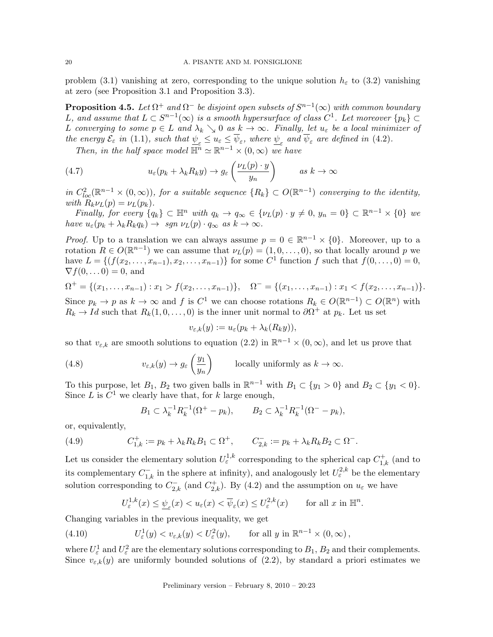problem (3.1) vanishing at zero, corresponding to the unique solution  $h_{\varepsilon}$  to (3.2) vanishing at zero (see Proposition 3.1 and Proposition 3.3).

**Proposition 4.5.** Let  $\Omega^+$  and  $\Omega^-$  be disjoint open subsets of  $S^{n-1}(\infty)$  with common boundary L, and assume that  $L \subset S^{n-1}(\infty)$  is a smooth hypersurface of class  $C^1$ . Let moreover  $\{p_k\} \subset$ L converging to some  $p \in L$  and  $\lambda_k \setminus 0$  as  $k \to \infty$ . Finally, let  $u_{\varepsilon}$  be a local minimizer of the energy  $\mathcal{E}_{\varepsilon}$  in (1.1), such that  $\underline{\psi}_{\varepsilon} \le u_{\varepsilon} \le \psi_{\varepsilon}$ , where  $\underline{\psi}_{\varepsilon}$  and  $\psi_{\varepsilon}$  are defined in (4.2).

Then, in the half space model  $\overline{\mathbb{H}^n} \simeq \mathbb{R}^{n-1} \times (0, \infty)$  we have

(4.7) 
$$
u_{\varepsilon}(p_k + \lambda_k R_k y) \to g_{\varepsilon}\left(\frac{\nu_L(p) \cdot y}{y_n}\right) \qquad \text{as } k \to \infty
$$

in  $C^2_{loc}(\mathbb{R}^{n-1}\times(0,\infty))$ , for a suitable sequence  $\{R_k\}\subset O(\mathbb{R}^{n-1})$  converging to the identity, with  $R_k \nu_L(p) = \nu_L(p_k)$ .

Finally, for every  $\{q_k\} \subset \mathbb{H}^n$  with  $q_k \to q_\infty \in \{\nu_L(p) \cdot y \neq 0, y_n = 0\} \subset \mathbb{R}^{n-1} \times \{0\}$  we have  $u_{\varepsilon}(p_k + \lambda_k R_k q_k) \to \text{sgn } \nu_L(p) \cdot q_\infty \text{ as } k \to \infty.$ 

*Proof.* Up to a translation we can always assume  $p = 0 \in \mathbb{R}^{n-1} \times \{0\}$ . Moreover, up to a rotation  $R \in O(\mathbb{R}^{n-1})$  we can assume that  $\nu_L(p) = (1, 0, \ldots, 0)$ , so that locally around p we have  $L = \{ (f(x_2, \ldots, x_{n-1}), x_2, \ldots, x_{n-1}) \}$  for some  $C^1$  function f such that  $f(0, \ldots, 0) = 0$ ,  $\nabla f(0,\ldots 0) = 0$ , and

$$
\Omega^+ = \{(x_1, \ldots, x_{n-1}) : x_1 > f(x_2, \ldots, x_{n-1})\}, \quad \Omega^- = \{(x_1, \ldots, x_{n-1}) : x_1 < f(x_2, \ldots, x_{n-1})\}.
$$

Since  $p_k \to p$  as  $k \to \infty$  and f is  $C^1$  we can choose rotations  $R_k \in O(\mathbb{R}^{n-1}) \subset O(\mathbb{R}^n)$  with  $R_k \to Id$  such that  $R_k(1,0,\ldots,0)$  is the inner unit normal to  $\partial \Omega^+$  at  $p_k$ . Let us set

$$
v_{\varepsilon,k}(y) := u_{\varepsilon}(p_k + \lambda_k(R_k y)),
$$

so that  $v_{\varepsilon,k}$  are smooth solutions to equation (2.2) in  $\mathbb{R}^{n-1}\times(0,\infty)$ , and let us prove that

(4.8) 
$$
v_{\varepsilon,k}(y) \to g_{\varepsilon}\left(\frac{y_1}{y_n}\right) \quad \text{locally uniformly as } k \to \infty.
$$

To this purpose, let  $B_1$ ,  $B_2$  two given balls in  $\mathbb{R}^{n-1}$  with  $B_1 \subset \{y_1 > 0\}$  and  $B_2 \subset \{y_1 < 0\}$ . Since L is  $C^1$  we clearly have that, for k large enough,

$$
B_1 \subset \lambda_k^{-1} R_k^{-1} (\Omega^+ - p_k), \qquad B_2 \subset \lambda_k^{-1} R_k^{-1} (\Omega^- - p_k),
$$

or, equivalently,

(4.9) 
$$
C_{1,k}^+ := p_k + \lambda_k R_k B_1 \subset \Omega^+, \qquad C_{2,k}^- := p_k + \lambda_k R_k B_2 \subset \Omega^-.
$$

Let us consider the elementary solution  $U_{\varepsilon}^{1,k}$  corresponding to the spherical cap  $C_{1,k}^{+}$  (and to its complementary  $C_{1,k}^-$  in the sphere at infinity), and analogously let  $U^{2,k}_\varepsilon$  be the elementary solution corresponding to  $C_{2,k}^-$  (and  $C_{2,k}^+$ ). By (4.2) and the assumption on  $u_{\varepsilon}$  we have

$$
U_{\varepsilon}^{1,k}(x) \leq \underline{\psi}_{\varepsilon}(x) < u_{\varepsilon}(x) < \overline{\psi}_{\varepsilon}(x) \leq U_{\varepsilon}^{2,k}(x) \qquad \text{for all } x \text{ in } \mathbb{H}^n.
$$

Changing variables in the previous inequality, we get

(4.10) 
$$
U_{\varepsilon}^1(y) < v_{\varepsilon,k}(y) < U_{\varepsilon}^2(y), \qquad \text{for all } y \text{ in } \mathbb{R}^{n-1} \times (0, \infty),
$$

where  $U_{\varepsilon}^1$  and  $U_{\varepsilon}^2$  are the elementary solutions corresponding to  $B_1$ ,  $B_2$  and their complements. Since  $v_{\varepsilon,k}(y)$  are uniformly bounded solutions of (2.2), by standard a priori estimates we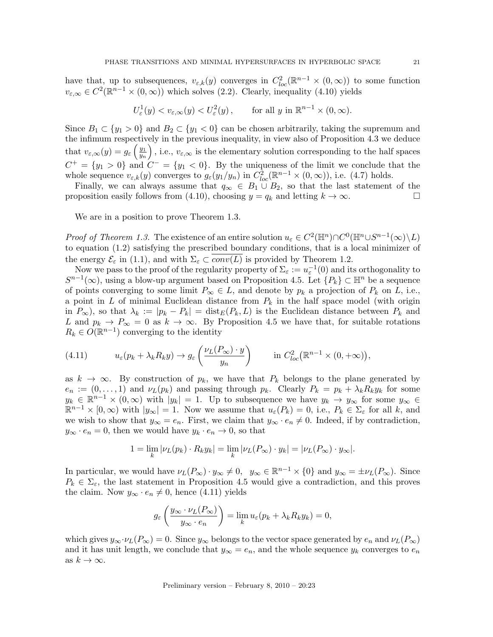have that, up to subsequences,  $v_{\varepsilon,k}(y)$  converges in  $C^2_{loc}(\mathbb{R}^{n-1}\times(0,\infty))$  to some function  $v_{\varepsilon,\infty} \in C^2(\mathbb{R}^{n-1} \times (0,\infty))$  which solves (2.2). Clearly, inequality (4.10) yields

$$
U_{\varepsilon}^1(y) < v_{\varepsilon,\infty}(y) < U_{\varepsilon}^2(y)
$$
, for all  $y$  in  $\mathbb{R}^{n-1} \times (0,\infty)$ .

Since  $B_1 \subset \{y_1 > 0\}$  and  $B_2 \subset \{y_1 < 0\}$  can be chosen arbitrarily, taking the supremum and the infimum respectively in the previous inequality, in view also of Proposition 4.3 we deduce that  $v_{\varepsilon,\infty}(y) = g_{\varepsilon}\left(\frac{y_1}{y_n}\right)$  $\left(\frac{y_1}{y_n}\right)$ , i.e.,  $v_{\varepsilon,\infty}$  is the elementary solution corresponding to the half spaces  $C^+ = \{y_1 > 0\}$  and  $C^- = \{y_1 < 0\}$ . By the uniqueness of the limit we conclude that the whole sequence  $v_{\varepsilon,k}(y)$  converges to  $g_{\varepsilon}(y_1/y_n)$  in  $C^2_{loc}(\mathbb{R}^{n-1}\times(0,\infty))$ , i.e. (4.7) holds.

Finally, we can always assume that  $q_{\infty} \in B_1 \cup B_2$ , so that the last statement of the proposition easily follows from (4.10), choosing  $y = q_k$  and letting  $k \to \infty$ .

We are in a position to prove Theorem 1.3.

*Proof of Theorem 1.3.* The existence of an entire solution  $u_{\varepsilon} \in C^2(\mathbb{H}^n) \cap C^0(\mathbb{H}^n \cup S^{n-1}(\infty) \setminus L)$ to equation (1.2) satisfying the prescribed boundary conditions, that is a local minimizer of the energy  $\mathcal{E}_{\varepsilon}$  in (1.1), and with  $\Sigma_{\varepsilon} \subset \overline{conv(L)}$  is provided by Theorem 1.2.

Now we pass to the proof of the regularity property of  $\Sigma_{\varepsilon} := u_{\varepsilon}^{-1}(0)$  and its orthogonality to  $S^{n-1}(\infty)$ , using a blow-up argument based on Proposition 4.5. Let  $\{P_k\} \subset \mathbb{H}^n$  be a sequence of points converging to some limit  $P_{\infty} \in L$ , and denote by  $p_k$  a projection of  $P_k$  on L, i.e., a point in L of minimal Euclidean distance from  $P_k$  in the half space model (with origin in  $P_{\infty}$ ), so that  $\lambda_k := |p_k - P_k| = \text{dist}_E(P_k, L)$  is the Euclidean distance between  $P_k$  and L and  $p_k \to P_\infty = 0$  as  $k \to \infty$ . By Proposition 4.5 we have that, for suitable rotations  $R_k \in O(\mathbb{R}^{n-1})$  converging to the identity

(4.11) 
$$
u_{\varepsilon}(p_k + \lambda_k R_k y) \to g_{\varepsilon}\left(\frac{\nu_L(P_{\infty}) \cdot y}{y_n}\right) \qquad \text{in } C^2_{loc}(\mathbb{R}^{n-1} \times (0, +\infty)),
$$

as  $k \to \infty$ . By construction of  $p_k$ , we have that  $P_k$  belongs to the plane generated by  $e_n := (0, \ldots, 1)$  and  $\nu_L(p_k)$  and passing through  $p_k$ . Clearly  $P_k = p_k + \lambda_k R_k y_k$  for some  $y_k \in \mathbb{R}^{n-1} \times (0,\infty)$  with  $|y_k| = 1$ . Up to subsequence we have  $y_k \to y_\infty$  for some  $y_\infty \in$  $\mathbb{R}^{n-1} \times [0,\infty)$  with  $|y_\infty|=1$ . Now we assume that  $u_\varepsilon(P_k)=0$ , i.e.,  $P_k \in \Sigma_\varepsilon$  for all k, and we wish to show that  $y_{\infty} = e_n$ . First, we claim that  $y_{\infty} \cdot e_n \neq 0$ . Indeed, if by contradiction,  $y_{\infty} \cdot e_n = 0$ , then we would have  $y_k \cdot e_n \to 0$ , so that

$$
1 = \lim_{k} |\nu_L(p_k) \cdot R_k y_k| = \lim_{k} |\nu_L(P_{\infty}) \cdot y_k| = |\nu_L(P_{\infty}) \cdot y_{\infty}|.
$$

In particular, we would have  $\nu_L(P_\infty) \cdot y_\infty \neq 0$ ,  $y_\infty \in \mathbb{R}^{n-1} \times \{0\}$  and  $y_\infty = \pm \nu_L(P_\infty)$ . Since  $P_k \in \Sigma_{\varepsilon}$ , the last statement in Proposition 4.5 would give a contradiction, and this proves the claim. Now  $y_{\infty} \cdot e_n \neq 0$ , hence (4.11) yields

$$
g_{\varepsilon}\left(\frac{y_{\infty}\cdot\nu_L(P_{\infty})}{y_{\infty}\cdot e_n}\right)=\lim_k u_{\varepsilon}(p_k+\lambda_k R_k y_k)=0,
$$

which gives  $y_\infty \cdot \nu_L(P_\infty) = 0$ . Since  $y_\infty$  belongs to the vector space generated by  $e_n$  and  $\nu_L(P_\infty)$ and it has unit length, we conclude that  $y_{\infty} = e_n$ , and the whole sequence  $y_k$  converges to  $e_n$ as  $k \to \infty$ .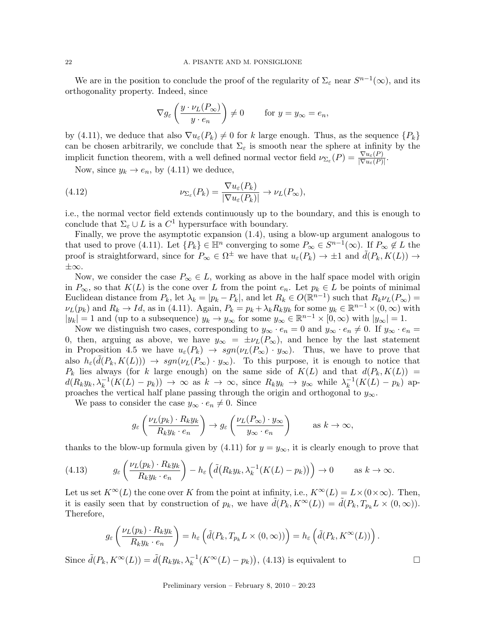We are in the position to conclude the proof of the regularity of  $\Sigma_{\varepsilon}$  near  $S^{n-1}(\infty)$ , and its orthogonality property. Indeed, since

$$
\nabla g_{\varepsilon}\left(\frac{y \cdot \nu_L(P_{\infty})}{y \cdot e_n}\right) \neq 0 \quad \text{for } y = y_{\infty} = e_n,
$$

by (4.11), we deduce that also  $\nabla u_{\varepsilon}(P_k) \neq 0$  for k large enough. Thus, as the sequence  $\{P_k\}$ can be chosen arbitrarily, we conclude that  $\Sigma_{\varepsilon}$  is smooth near the sphere at infinity by the implicit function theorem, with a well defined normal vector field  $\nu_{\Sigma_{\varepsilon}}(P) = \frac{\nabla u_{\varepsilon}(P)}{|\nabla u_{\varepsilon}(P)|}$ .

Now, since  $y_k \to e_n$ , by (4.11) we deduce,

(4.12) 
$$
\nu_{\Sigma_{\varepsilon}}(P_k) = \frac{\nabla u_{\varepsilon}(P_k)}{|\nabla u_{\varepsilon}(P_k)|} \to \nu_L(P_{\infty}),
$$

i.e., the normal vector field extends continuously up to the boundary, and this is enough to conclude that  $\Sigma_{\varepsilon} \cup L$  is a  $C^1$  hypersurface with boundary.

Finally, we prove the asymptotic expansion (1.4), using a blow-up argument analogous to that used to prove (4.11). Let  $\{P_k\} \in \mathbb{H}^n$  converging to some  $P_\infty \in S^{n-1}(\infty)$ . If  $P_\infty \notin L$  the proof is straightforward, since for  $P_{\infty} \in \Omega^{\pm}$  we have that  $u_{\varepsilon}(P_k) \to \pm 1$  and  $\tilde{d}(P_k, K(L)) \to$ ±∞.

Now, we consider the case  $P_{\infty} \in L$ , working as above in the half space model with origin in  $P_{\infty}$ , so that  $K(L)$  is the cone over L from the point  $e_n$ . Let  $p_k \in L$  be points of minimal Euclidean distance from  $P_k$ , let  $\lambda_k = |p_k - P_k|$ , and let  $R_k \in O(\mathbb{R}^{n-1})$  such that  $R_k \nu_L(P_\infty) =$  $\nu_L(p_k)$  and  $R_k \to Id$ , as in (4.11). Again,  $P_k = p_k + \lambda_k R_k y_k$  for some  $y_k \in \mathbb{R}^{n-1} \times (0, \infty)$  with  $|y_k| = 1$  and (up to a subsequence)  $y_k \to y_\infty$  for some  $y_\infty \in \mathbb{R}^{n-1} \times [0, \infty)$  with  $|y_\infty| = 1$ .

Now we distinguish two cases, corresponding to  $y_\infty \cdot e_n = 0$  and  $y_\infty \cdot e_n \neq 0$ . If  $y_\infty \cdot e_n = 0$ 0, then, arguing as above, we have  $y_{\infty} = \pm \nu_L(P_{\infty})$ , and hence by the last statement in Proposition 4.5 we have  $u_{\varepsilon}(P_k) \to sgn(\nu_L(P_{\infty}) \cdot y_{\infty})$ . Thus, we have to prove that also  $h_{\varepsilon}(\tilde{d}(P_k, K(L))) \to sgn(\nu_L(P_{\infty}) \cdot y_{\infty})$ . To this purpose, it is enough to notice that  $P_k$  lies always (for k large enough) on the same side of  $K(L)$  and that  $d(P_k, K(L)) =$  $d(R_k y_k, \lambda_k^{-1}(K(L) - p_k)) \to \infty$  as  $k \to \infty$ , since  $R_k y_k \to y_\infty$  while  $\lambda_k^{-1}$  $_{k}^{-1}(K(L) - p_{k})$  approaches the vertical half plane passing through the origin and orthogonal to  $y_{\infty}$ .

We pass to consider the case  $y_{\infty} \cdot e_n \neq 0$ . Since

$$
g_{\varepsilon}\left(\frac{\nu_L(p_k)\cdot R_k y_k}{R_k y_k \cdot e_n}\right) \to g_{\varepsilon}\left(\frac{\nu_L(P_{\infty})\cdot y_{\infty}}{y_{\infty} \cdot e_n}\right) \qquad \text{as } k \to \infty,
$$

thanks to the blow-up formula given by (4.11) for  $y = y_{\infty}$ , it is clearly enough to prove that

(4.13) 
$$
g_{\varepsilon}\left(\frac{\nu_L(p_k)\cdot R_k y_k}{R_k y_k \cdot e_n}\right) - h_{\varepsilon}\left(\tilde{d}\left(R_k y_k, \lambda_k^{-1}(K(L) - p_k)\right)\right) \to 0 \quad \text{as } k \to \infty.
$$

Let us set  $K^{\infty}(L)$  the cone over K from the point at infinity, i.e.,  $K^{\infty}(L) = L \times (0 \times \infty)$ . Then, it is easily seen that by construction of  $p_k$ , we have  $d(P_k, K^{\infty}(L)) = d(P_k, T_{p_k}L \times (0, \infty)).$ Therefore,

$$
g_{\varepsilon}\left(\frac{\nu_L(p_k)\cdot R_k y_k}{R_k y_k\cdot e_n}\right)=h_{\varepsilon}\left(\tilde{d}(P_k,T_{p_k}L\times(0,\infty))\right)=h_{\varepsilon}\left(\tilde{d}(P_k,K^{\infty}(L))\right).
$$

Since  $\tilde{d}(P_k, K^{\infty}(L)) = \tilde{d}(R_k y_k, \lambda_k^{-1}(K^{\infty}(L) - p_k)),$  (4.13) is equivalent to

Preliminary version – February 8, 2010 – 20:23

$$
\Box
$$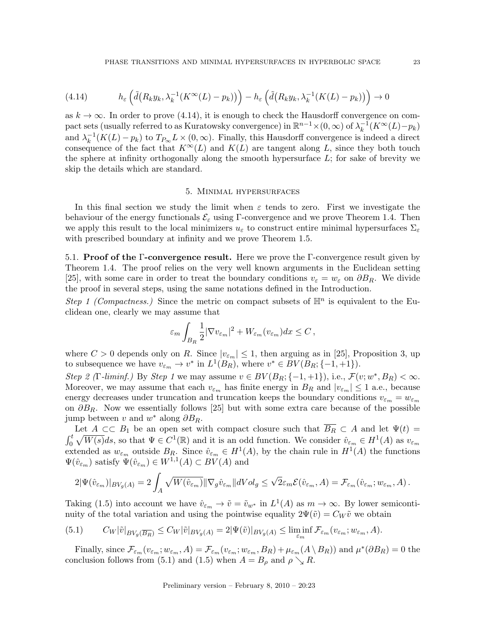(4.14) 
$$
h_{\varepsilon}\left(\tilde{d}\left(R_{k}y_{k},\lambda_{k}^{-1}(K^{\infty}(L)-p_{k})\right)\right)-h_{\varepsilon}\left(\tilde{d}\left(R_{k}y_{k},\lambda_{k}^{-1}(K(L)-p_{k})\right)\right)\to 0
$$

as  $k \to \infty$ . In order to prove (4.14), it is enough to check the Hausdorff convergence on compact sets (usually referred to as Kuratowsky convergence) in  $\mathbb{R}^{n-1} \times (0, \infty)$  of  $\lambda_k^{-1}$  $_{k}^{-1}(K^{\infty}(L)-p_{k})$ and  $\lambda_k^{-1}$  $k_k^{-1}(K(L) - p_k)$  to  $T_{P_\infty}L \times (0, \infty)$ . Finally, this Hausdorff convergence is indeed a direct consequence of the fact that  $K^{\infty}(L)$  and  $K(L)$  are tangent along L, since they both touch the sphere at infinity orthogonally along the smooth hypersurface  $L$ ; for sake of brevity we skip the details which are standard.

### 5. Minimal hypersurfaces

In this final section we study the limit when  $\varepsilon$  tends to zero. First we investigate the behaviour of the energy functionals  $\mathcal{E}_{\varepsilon}$  using Γ-convergence and we prove Theorem 1.4. Then we apply this result to the local minimizers  $u_{\varepsilon}$  to construct entire minimal hypersurfaces  $\Sigma_{\varepsilon}$ with prescribed boundary at infinity and we prove Theorem 1.5.

5.1. Proof of the Γ-convergence result. Here we prove the Γ-convergence result given by Theorem 1.4. The proof relies on the very well known arguments in the Euclidean setting [25], with some care in order to treat the boundary conditions  $v_{\varepsilon} = w_{\varepsilon}$  on  $\partial B_R$ . We divide the proof in several steps, using the same notations defined in the Introduction.

Step 1 (Compactness.) Since the metric on compact subsets of  $\mathbb{H}^n$  is equivalent to the Euclidean one, clearly we may assume that

$$
\varepsilon_m \int_{B_R} \frac{1}{2} |\nabla v_{\varepsilon_m}|^2 + W_{\varepsilon_m}(v_{\varepsilon_m}) dx \le C,
$$

where  $C > 0$  depends only on R. Since  $|v_{\varepsilon_m}| \leq 1$ , then arguing as in [25], Proposition 3, up to subsequence we have  $v_{\varepsilon_m} \to v^*$  in  $L^1(B_R)$ , where  $v^* \in BV(B_R; \{-1, +1\})$ .

Step 2 (Γ-liminf.) By Step 1 we may assume  $v \in BV(B_R; \{-1,+1\})$ , i.e.,  $\mathcal{F}(v; w^*, B_R) < \infty$ . Moreover, we may assume that each  $v_{\varepsilon_m}$  has finite energy in  $B_R$  and  $|v_{\varepsilon_m}| \leq 1$  a.e., because energy decreases under truncation and truncation keeps the boundary conditions  $v_{\varepsilon_m} = w_{\varepsilon_m}$ on  $\partial B_R$ . Now we essentially follows [25] but with some extra care because of the possible jump between v and  $w^*$  along  $\partial B_R$ .

Let  $A \subset\subset B_1$  be an open set with compact closure such that  $\overline{B_R} \subset A$  and let  $\Psi(t) =$  $\int_0^t \sqrt{W(s)}ds$ , so that  $\Psi \in C^1(\mathbb{R})$  and it is an odd function. We consider  $\hat{v}_{\varepsilon_m} \in H^1(A)$  as  $v_{\varepsilon_m}$ extended as  $w_{\varepsilon_m}$  outside  $B_R$ . Since  $\hat{v}_{\varepsilon_m} \in H^1(A)$ , by the chain rule in  $H^1(A)$  the functions  $\Psi(\hat{v}_{\varepsilon_m})$  satisfy  $\Psi(\hat{v}_{\varepsilon_m}) \in W^{1,1}(A) \subset BV(A)$  and

$$
2|\Psi(\hat{v}_{\varepsilon_m})|_{BV_g(A)}=2\int_A\sqrt{W(\hat{v}_{\varepsilon_m})}\|\nabla_g\hat{v}_{\varepsilon_m}\|dVol_g\leq \sqrt{2}\varepsilon_m\mathcal{E}(\hat{v}_{\varepsilon_m},A)=\mathcal{F}_{\varepsilon_m}(\hat{v}_{\varepsilon_m};w_{\varepsilon_m},A)\,.
$$

Taking (1.5) into account we have  $\hat{v}_{\varepsilon_m} \to \tilde{v} = \tilde{v}_{w^*}$  in  $L^1(A)$  as  $m \to \infty$ . By lower semicontinuity of the total variation and using the pointwise equality  $2\Psi(\tilde{v}) = C_W \tilde{v}$  we obtain

(5.1) 
$$
C_W|\tilde{v}|_{BV_g(\overline{B_R})} \leq C_W|\tilde{v}|_{BV_g(A)} = 2|\Psi(\tilde{v})|_{BV_g(A)} \leq \liminf_{\varepsilon_m} \mathcal{F}_{\varepsilon_m}(v_{\varepsilon_m}; w_{\varepsilon_m}, A).
$$

Finally, since  $\mathcal{F}_{\varepsilon_m}(v_{\varepsilon_m}; w_{\varepsilon_m}, A) = \mathcal{F}_{\varepsilon_m}(v_{\varepsilon_m}; w_{\varepsilon_m}, B_R) + \mu_{\varepsilon_m}(A \setminus B_R)$  and  $\mu^*(\partial B_R) = 0$  the conclusion follows from (5.1) and (1.5) when  $A = B_\rho$  and  $\rho \searrow R$ .

Preliminary version – February 8, 2010 – 20:23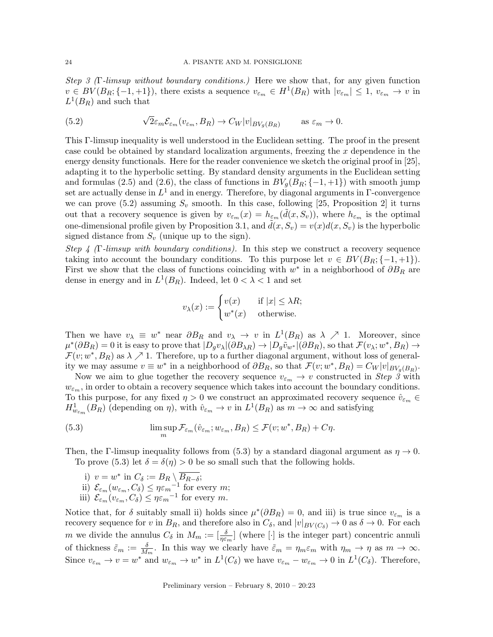Step 3 (Γ-limsup without boundary conditions.) Here we show that, for any given function  $v \in BV(B_R; \{-1,+1\})$ , there exists a sequence  $v_{\varepsilon_m} \in H^1(B_R)$  with  $|v_{\varepsilon_m}| \leq 1$ ,  $v_{\varepsilon_m} \to v$  in  $L^1(B_R)$  and such that

(5.2) 
$$
\sqrt{2}\varepsilon_m \mathcal{E}_{\varepsilon_m}(v_{\varepsilon_m}, B_R) \to C_W |v|_{BV_g(B_R)} \quad \text{as } \varepsilon_m \to 0.
$$

This Γ-limsup inequality is well understood in the Euclidean setting. The proof in the present case could be obtained by standard localization arguments, freezing the x dependence in the energy density functionals. Here for the reader convenience we sketch the original proof in [25], adapting it to the hyperbolic setting. By standard density arguments in the Euclidean setting and formulas (2.5) and (2.6), the class of functions in  $BV_q(B_R; \{-1, +1\})$  with smooth jump set are actually dense in  $L^1$  and in energy. Therefore, by diagonal arguments in  $\Gamma$ -convergence we can prove  $(5.2)$  assuming  $S_v$  smooth. In this case, following [25, Proposition 2] it turns out that a recovery sequence is given by  $v_{\varepsilon_m}(x) = h_{\varepsilon_m}(\tilde{d}(x, S_v))$ , where  $h_{\varepsilon_m}$  is the optimal one-dimensional profile given by Proposition 3.1, and  $\tilde{d}(x, S_v) = v(x)d(x, S_v)$  is the hyperbolic signed distance from  $S_v$  (unique up to the sign).

Step 4 (Γ-limsup with boundary conditions). In this step we construct a recovery sequence taking into account the boundary conditions. To this purpose let  $v \in BV(B_R; \{-1, +1\}).$ First we show that the class of functions coinciding with  $w^*$  in a neighborhood of  $\partial B_R$  are dense in energy and in  $L^1(B_R)$ . Indeed, let  $0 < \lambda < 1$  and set

$$
v_{\lambda}(x) := \begin{cases} v(x) & \text{if } |x| \leq \lambda R; \\ w^*(x) & \text{otherwise.} \end{cases}
$$

Then we have  $v_{\lambda} \equiv w^*$  near  $\partial B_R$  and  $v_{\lambda} \to v$  in  $L^1(B_R)$  as  $\lambda \nearrow 1$ . Moreover, since  $\mu^*(\partial B_R) = 0$  it is easy to prove that  $|D_g v_\lambda|(\partial B_{\lambda R}) \to |D_g \tilde{v}_{w^*}|(\partial B_R)$ , so that  $\mathcal{F}(v_\lambda; w^*, B_R) \to$  $\mathcal{F}(v; w^*, B_R)$  as  $\lambda \nearrow 1$ . Therefore, up to a further diagonal argument, without loss of generality we may assume  $v \equiv w^*$  in a neighborhood of  $\partial B_R$ , so that  $\mathcal{F}(v; w^*, B_R) = C_W |v|_{BV_g(B_R)}$ .

Now we aim to glue together the recovery sequence  $v_{\varepsilon_m} \to v$  constructed in Step 3 with  $w_{\varepsilon_m}$ , in order to obtain a recovery sequence which takes into account the boundary conditions. To this purpose, for any fixed  $\eta > 0$  we construct an approximated recovery sequence  $\hat{v}_{\varepsilon_m} \in$  $H^1_{w_{\varepsilon_m}}(B_R)$  (depending on  $\eta$ ), with  $\hat{v}_{\varepsilon_m} \to v$  in  $L^1(B_R)$  as  $m \to \infty$  and satisfying

(5.3) 
$$
\limsup_{m} \mathcal{F}_{\varepsilon_m}(\hat{v}_{\varepsilon_m}; w_{\varepsilon_m}, B_R) \leq \mathcal{F}(v; w^*, B_R) + C\eta.
$$

Then, the Γ-limsup inequality follows from (5.3) by a standard diagonal argument as  $\eta \to 0$ . To prove (5.3) let  $\delta = \delta(\eta) > 0$  be so small such that the following holds.

i)  $v = w^*$  in  $C_\delta := B_R \setminus \overline{B_{R-\delta}};$ ii)  $\mathcal{E}_{\varepsilon_m}(w_{\varepsilon_m}, C_\delta) \leq \eta \varepsilon_m^{-1}$  for every  $m$ ; iii)  $\mathcal{E}_{\varepsilon_m}(v_{\varepsilon_m}, C_\delta) \leq \eta \varepsilon_m^{-1}$  for every m.

Notice that, for  $\delta$  suitably small ii) holds since  $\mu^*(\partial B_R) = 0$ , and iii) is true since  $v_{\varepsilon_m}$  is a recovery sequence for v in  $B_R$ , and therefore also in  $C_\delta$ , and  $|v|_{BV(C_\delta)} \to 0$  as  $\delta \to 0$ . For each m we divide the annulus  $C_{\delta}$  in  $M_m := \left[\frac{\delta}{\eta \varepsilon_m}\right]$  (where  $[\cdot]$  is the integer part) concentric annuli of thickness  $\tilde{\varepsilon}_m := \frac{\delta}{M_m}$ . In this way we clearly have  $\tilde{\varepsilon}_m = \eta_m \varepsilon_m$  with  $\eta_m \to \eta$  as  $m \to \infty$ . Since  $v_{\varepsilon_m} \to v = w^*$  and  $w_{\varepsilon_m} \to w^*$  in  $L^1(C_\delta)$  we have  $v_{\varepsilon_m} - w_{\varepsilon_m} \to 0$  in  $L^1(C_\delta)$ . Therefore,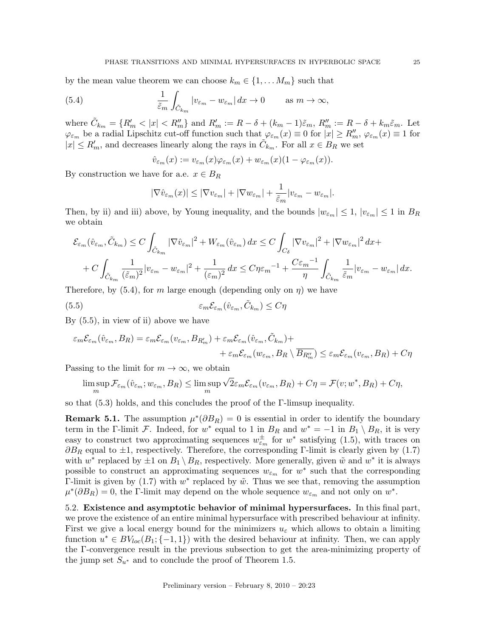by the mean value theorem we can choose  $k_m \in \{1, \ldots M_m\}$  such that

(5.4) 
$$
\frac{1}{\tilde{\varepsilon}_m} \int_{\tilde{C}_{k_m}} |v_{\varepsilon_m} - w_{\varepsilon_m}| dx \to 0 \quad \text{as } m \to \infty,
$$

where  $\tilde{C}_{k_m} = \{R'_m < |x| < R''_m\}$  and  $R'_m := R - \delta + (k_m - 1)\tilde{\varepsilon}_m$ ,  $R''_m := R - \delta + k_m\tilde{\varepsilon}_m$ . Let  $\varphi_{\varepsilon_m}$  be a radial Lipschitz cut-off function such that  $\varphi_{\varepsilon_m}(x) \equiv 0$  for  $|x| \ge R''_m$ ,  $\varphi_{\varepsilon_m}(x) \equiv 1$  for  $|x| \le R'_m$ , and decreases linearly along the rays in  $\tilde{C}_{k_m}$ . For all  $x \in B_R$  we set

$$
\hat{v}_{\varepsilon_m}(x) := v_{\varepsilon_m}(x)\varphi_{\varepsilon_m}(x) + w_{\varepsilon_m}(x)(1 - \varphi_{\varepsilon_m}(x)).
$$

By construction we have for a.e.  $x \in B_R$ 

$$
|\nabla \hat{v}_{\varepsilon_m}(x)| \le |\nabla v_{\varepsilon_m}| + |\nabla w_{\varepsilon_m}| + \frac{1}{\tilde{\varepsilon}_m} |v_{\varepsilon_m} - w_{\varepsilon_m}|.
$$

Then, by ii) and iii) above, by Young inequality, and the bounds  $|w_{\varepsilon_m}| \leq 1$ ,  $|v_{\varepsilon_m}| \leq 1$  in  $B_R$ we obtain

$$
\mathcal{E}_{\varepsilon_m}(\hat{v}_{\varepsilon_m}, \tilde{C}_{k_m}) \le C \int_{\tilde{C}_{k_m}} |\nabla \hat{v}_{\varepsilon_m}|^2 + W_{\varepsilon_m}(\hat{v}_{\varepsilon_m}) dx \le C \int_{C_\delta} |\nabla v_{\varepsilon_m}|^2 + |\nabla w_{\varepsilon_m}|^2 dx +
$$
  
+  $C \int_{\tilde{C}_{k_m}} \frac{1}{(\tilde{\varepsilon}_m)^2} |v_{\varepsilon_m} - w_{\varepsilon_m}|^2 + \frac{1}{(\varepsilon_m)^2} dx \le C \eta \varepsilon_m^{-1} + \frac{C \varepsilon_m^{-1}}{\eta} \int_{\tilde{C}_{k_m}} \frac{1}{\tilde{\varepsilon}_m} |v_{\varepsilon_m} - w_{\varepsilon_m}| dx.$ 

Therefore, by  $(5.4)$ , for m large enough (depending only on  $\eta$ ) we have

(5.5) 
$$
\varepsilon_m \mathcal{E}_{\varepsilon_m}(\hat{v}_{\varepsilon_m}, \tilde{C}_{k_m}) \le C \eta
$$

By (5.5), in view of ii) above we have

$$
\varepsilon_m \mathcal{E}_{\varepsilon_m}(\hat{v}_{\varepsilon_m}, B_R) = \varepsilon_m \mathcal{E}_{\varepsilon_m}(v_{\varepsilon_m}, B_{R'_m}) + \varepsilon_m \mathcal{E}_{\varepsilon_m}(\hat{v}_{\varepsilon_m}, \tilde{C}_{k_m}) + + \varepsilon_m \mathcal{E}_{\varepsilon_m}(w_{\varepsilon_m}, B_R \setminus \overline{B_{R''_m}}) \leq \varepsilon_m \mathcal{E}_{\varepsilon_m}(v_{\varepsilon_m}, B_R) + C\eta
$$

Passing to the limit for  $m \to \infty$ , we obtain

$$
\limsup_m \mathcal{F}_{\varepsilon_m}(\hat{v}_{\varepsilon_m}; w_{\varepsilon_m}, B_R) \le \limsup_m \sqrt{2}\varepsilon_m \mathcal{E}_{\varepsilon_m}(v_{\varepsilon_m}, B_R) + C\eta = \mathcal{F}(v; w^*, B_R) + C\eta,
$$

so that  $(5.3)$  holds, and this concludes the proof of the Γ-limsup inequality.

**Remark 5.1.** The assumption  $\mu^*(\partial B_R) = 0$  is essential in order to identify the boundary term in the Γ-limit F. Indeed, for  $w^*$  equal to 1 in  $B_R$  and  $w^* = -1$  in  $B_1 \setminus B_R$ , it is very easy to construct two approximating sequences  $w_{\varepsilon_m}^{\pm}$  for  $w^*$  satisfying (1.5), with traces on  $\partial B_R$  equal to  $\pm 1$ , respectively. Therefore, the corresponding Γ-limit is clearly given by (1.7) with  $w^*$  replaced by  $\pm 1$  on  $B_1 \setminus B_R$ , respectively. More generally, given  $\tilde{w}$  and  $w^*$  it is always possible to construct an approximating sequences  $w_{\varepsilon_m}$  for  $w^*$  such that the corresponding  $\Gamma$ -limit is given by (1.7) with  $w^*$  replaced by  $\tilde{w}$ . Thus we see that, removing the assumption  $\mu^*(\partial B_R) = 0$ , the Γ-limit may depend on the whole sequence  $w_{\varepsilon_m}$  and not only on  $w^*$ .

5.2. Existence and asymptotic behavior of minimal hypersurfaces. In this final part, we prove the existence of an entire minimal hypersurface with prescribed behaviour at infinity. First we give a local energy bound for the minimizers  $u_{\varepsilon}$  which allows to obtain a limiting function  $u^* \in BV_{loc}(B_1; \{-1,1\})$  with the desired behaviour at infinity. Then, we can apply the Γ-convergence result in the previous subsection to get the area-minimizing property of the jump set  $S_{u^*}$  and to conclude the proof of Theorem 1.5.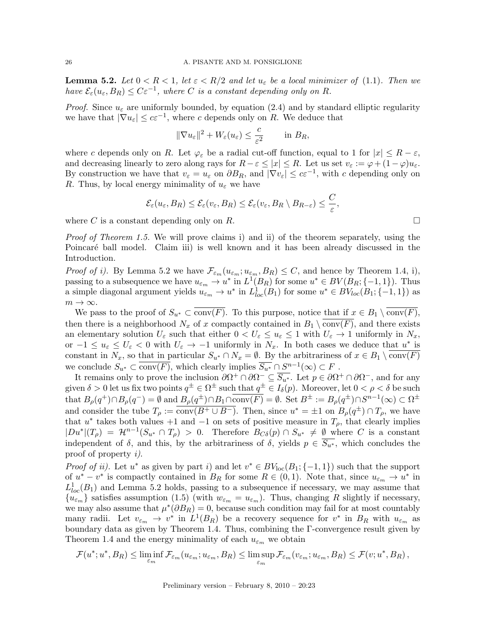**Lemma 5.2.** Let  $0 < R < 1$ , let  $\varepsilon < R/2$  and let  $u_{\varepsilon}$  be a local minimizer of (1.1). Then we have  $\mathcal{E}_{\varepsilon}(u_{\varepsilon},B_R) \leq C\varepsilon^{-1}$ , where C is a constant depending only on R.

*Proof.* Since  $u_{\varepsilon}$  are uniformly bounded, by equation (2.4) and by standard elliptic regularity we have that  $|\nabla u_{\varepsilon}| \leq c \varepsilon^{-1}$ , where c depends only on R. We deduce that

$$
\|\nabla u_{\varepsilon}\|^2 + W_{\varepsilon}(u_{\varepsilon}) \leq \frac{c}{\varepsilon^2} \quad \text{in } B_R,
$$

where c depends only on R. Let  $\varphi_{\varepsilon}$  be a radial cut-off function, equal to 1 for  $|x| \leq R - \varepsilon$ , and decreasing linearly to zero along rays for  $R - \varepsilon \leq |x| \leq R$ . Let us set  $v_{\varepsilon} := \varphi + (1 - \varphi)u_{\varepsilon}$ . By construction we have that  $v_{\varepsilon} = u_{\varepsilon}$  on  $\partial B_R$ , and  $|\nabla v_{\varepsilon}| \leq c \varepsilon^{-1}$ , with c depending only on R. Thus, by local energy minimality of  $u_{\varepsilon}$  we have

$$
\mathcal{E}_{\varepsilon}(u_{\varepsilon},B_R) \leq \mathcal{E}_{\varepsilon}(v_{\varepsilon},B_R) \leq \mathcal{E}_{\varepsilon}(v_{\varepsilon},B_R \setminus B_{R-\varepsilon}) \leq \frac{C}{\varepsilon},
$$

where  $C$  is a constant depending only on  $R$ .

Proof of Theorem 1.5. We will prove claims i) and ii) of the theorem separately, using the Poincaré ball model. Claim iii) is well known and it has been already discussed in the Introduction.

*Proof of i).* By Lemma 5.2 we have  $\mathcal{F}_{\varepsilon_m}(u_{\varepsilon_m}; u_{\varepsilon_m}, B_R) \leq C$ , and hence by Theorem 1.4, i), passing to a subsequence we have  $u_{\varepsilon_m} \to u^*$  in  $L^1(B_R)$  for some  $u^* \in BV(B_R; \{-1, 1\})$ . Thus a simple diagonal argument yields  $u_{\varepsilon_m} \to u^*$  in  $L^1_{loc}(B_1)$  for some  $u^* \in BV_{loc}(B_1; \{-1, 1\})$  as  $m \to \infty$ .

We pass to the proof of  $S_{u^*} \subset \overline{\text{conv}(F)}$ . To this purpose, notice that if  $x \in B_1 \setminus \overline{\text{conv}(F)}$ , then there is a neighborhood  $N_x$  of x compactly contained in  $B_1 \setminus \text{conv}(F)$ , and there exists an elementary solution  $U_{\varepsilon}$  such that either  $0 < U_{\varepsilon} \le u_{\varepsilon} \le 1$  with  $U_{\varepsilon} \to 1$  uniformly in  $N_x$ , or  $-1 \le u_{\varepsilon} \le U_{\varepsilon} < 0$  with  $U_{\varepsilon} \to -1$  uniformly in  $N_x$ . In both cases we deduce that  $u^*$  is constant in  $N_x$ , so that in particular  $S_{u^*} \cap N_x = \emptyset$ . By the arbitrariness of  $x \in B_1 \setminus \text{conv}(F)$ we conclude  $S_{u^*} \subset \overline{\text{conv}(F)}$ , which clearly implies  $\overline{S_{u^*}} \cap S^{n-1}(\infty) \subset F$ .

It remains only to prove the inclusion  $\partial \Omega^+ \cap \partial \Omega^- \subseteq \overline{S_{u^*}}$ . Let  $p \in \partial \Omega^+ \cap \partial \Omega^-$ , and for any given  $\delta > 0$  let us fix two points  $q^{\pm} \in \Omega^{\pm}$  such that  $q^{\pm} \in I_{\delta}(p)$ . Moreover, let  $0 < \rho < \delta$  be such that  $B_{\rho}(q^+) \cap B_{\rho}(q^-) = \emptyset$  and  $B_{\rho}(q^{\pm}) \cap B_1 \cap \overline{\text{conv}(F)} = \emptyset$ . Set  $B^{\pm} := B_{\rho}(q^{\pm}) \cap S^{n-1}(\infty) \subset \Omega^{\pm}$ and consider the tube  $T_\rho := \overline{\text{conv}(B^+ \cup B^-)}$ . Then, since  $u^* = \pm 1$  on  $B_\rho(q^{\pm}) \cap T_\rho$ , we have that  $u^*$  takes both values +1 and -1 on sets of positive measure in  $T_{\rho}$ , that clearly implies  $|Du^*|(T_\rho) = \mathcal{H}^{n-1}(S_{u^*} \cap T_\rho) > 0$ . Therefore  $B_{C\delta}(p) \cap S_{u^*} \neq \emptyset$  where C is a constant independent of  $\delta$ , and this, by the arbitrariness of  $\delta$ , yields  $p \in \overline{S_{u^*}}$ , which concludes the proof of property i).

*Proof of ii*). Let  $u^*$  as given by part i) and let  $v^* \in BV_{loc}(B_1; \{-1,1\})$  such that the support of  $u^* - v^*$  is compactly contained in  $B_R$  for some  $R \in (0,1)$ . Note that, since  $u_{\varepsilon_m} \to u^*$  in  $L^1_{loc}(B_1)$  and Lemma 5.2 holds, passing to a subsequence if necessary, we may assume that  ${u_{\varepsilon_m}}$  satisfies assumption (1.5) (with  $w_{\varepsilon_m} = u_{\varepsilon_m}$ ). Thus, changing R slightly if necessary, we may also assume that  $\mu^*(\partial B_R) = 0$ , because such condition may fail for at most countably many radii. Let  $v_{\varepsilon_m} \to v^*$  in  $L^1(B_R)$  be a recovery sequence for  $v^*$  in  $B_R$  with  $u_{\varepsilon_m}$  as boundary data as given by Theorem 1.4. Thus, combining the Γ-convergence result given by Theorem 1.4 and the energy minimality of each  $u_{\varepsilon_m}$  we obtain

$$
\mathcal{F}(u^*; u^*, B_R) \leq \liminf_{\varepsilon_m} \mathcal{F}_{\varepsilon_m}(u_{\varepsilon_m}; u_{\varepsilon_m}, B_R) \leq \limsup_{\varepsilon_m} \mathcal{F}_{\varepsilon_m}(v_{\varepsilon_m}; u_{\varepsilon_m}, B_R) \leq \mathcal{F}(v; u^*, B_R),
$$

$$
\Box
$$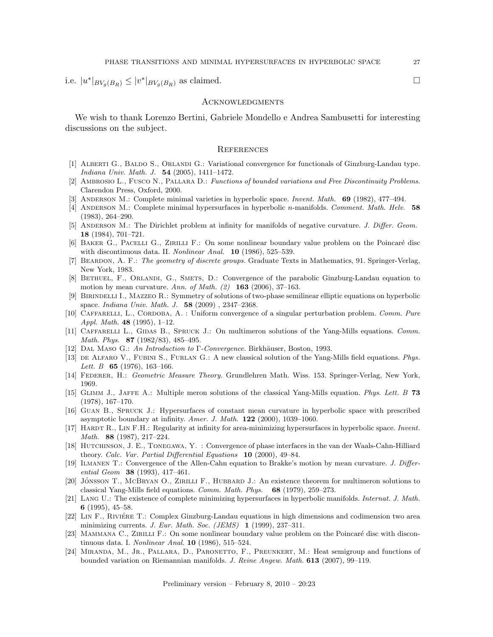i.e.  $|u^*|_{BV_g(B_R)} \le |v^*|_{BV_g(B_R)}$  as claimed.

### **ACKNOWLEDGMENTS**

We wish to thank Lorenzo Bertini, Gabriele Mondello e Andrea Sambusetti for interesting discussions on the subject.

#### **REFERENCES**

- [1] Alberti G., Baldo S., Orlandi G.: Variational convergence for functionals of Ginzburg-Landau type. Indiana Univ. Math. J. 54 (2005), 1411–1472.
- [2] Ambrosio L., Fusco N., Pallara D.: Functions of bounded variations and Free Discontinuity Problems. Clarendon Press, Oxford, 2000.
- [3] ANDERSON M.: Complete minimal varieties in hyperbolic space. Invent. Math. 69 (1982), 477–494.
- [4] ANDERSON M.: Complete minimal hypersurfaces in hyperbolic n-manifolds. Comment. Math. Helv. 58 (1983), 264–290.
- [5] ANDERSON M.: The Dirichlet problem at infinity for manifolds of negative curvature. J. Differ. Geom. 18 (1984), 701–721.
- [6] BAKER G., PACELLI G., ZIRILLI F.: On some nonlinear boundary value problem on the Poincaré disc with discontinuous data. II. *Nonlinear Anal.* **10** (1986), 525–539.
- [7] Beardon, A. F.: The geometry of discrete groups. Graduate Texts in Mathematics, 91. Springer-Verlag, New York, 1983.
- [8] BETHUEL, F., ORLANDI, G., SMETS, D.: Convergence of the parabolic Ginzburg-Landau equation to motion by mean curvature. Ann. of Math.  $(2)$  **163** (2006), 37-163.
- [9] Birindelli I., Mazzeo R.: Symmetry of solutions of two-phase semilinear elliptic equations on hyperbolic space. Indiana Univ. Math. J. 58 (2009) , 2347–2368.
- [10] CAFFARELLI, L., CORDOBA, A. : Uniform convergence of a singular perturbation problem. Comm. Pure Appl. Math. 48 (1995), 1–12.
- [11] CAFFARELLI L., GIDAS B., SPRUCK J.: On multimeron solutions of the Yang-Mills equations. Comm. Math. Phys. 87 (1982/83), 485–495.
- [12] DAL MASO G.: An Introduction to Γ-Convergence. Birkhäuser, Boston, 1993.
- [13] DE ALFARO V., FUBINI S., FURLAN G.: A new classical solution of the Yang-Mills field equations. Phys. *Lett. B* **65** (1976), 163-166.
- [14] FEDERER, H.: Geometric Measure Theory. Grundlehren Math. Wiss. 153. Springer-Verlag, New York, 1969.
- [15] Glimm J., Jaffe A.: Multiple meron solutions of the classical Yang-Mills equation. Phys. Lett. B 73 (1978), 167–170.
- [16] Guan B., Spruck J.: Hypersurfaces of constant mean curvature in hyperbolic space with prescribed asymptotic boundary at infinity. Amer. J. Math. 122 (2000), 1039–1060.
- [17] HARDT R., LIN F.H.: Regularity at infinity for area-minimizing hypersurfaces in hyperbolic space. Invent. Math. 88 (1987), 217–224.
- [18] Hutchinson, J. E., Tonegawa, Y. : Convergence of phase interfaces in the van der Waals-Cahn-Hilliard theory. Calc. Var. Partial Differential Equations 10 (2000), 49–84.
- [19] ILMANEN T.: Convergence of the Allen-Cahn equation to Brakke's motion by mean curvature. J. Differential Geom 38 (1993), 417–461.
- [20] JÓNSSON T., MCBRYAN O., ZIRILLI F., HUBBARD J.: An existence theorem for multimeron solutions to classical Yang-Mills field equations. Comm. Math. Phys. 68 (1979), 259–273.
- [21] Lang U.: The existence of complete minimizing hypersurfaces in hyperbolic manifolds. Internat. J. Math. 6 (1995), 45–58.
- [22] LIN F., RIVIÉRE T.: Complex Ginzburg-Landau equations in high dimensions and codimension two area minimizing currents. J. Eur. Math. Soc. (JEMS) 1 (1999), 237–311.
- [23] MAMMANA C., ZIRILLI F.: On some nonlinear boundary value problem on the Poincaré disc with discontinuous data. I. Nonlinear Anal. 10 (1986), 515–524.
- [24] MIRANDA, M., JR., PALLARA, D., PARONETTO, F., PREUNKERT, M.: Heat semigroup and functions of bounded variation on Riemannian manifolds. J. Reine Angew. Math. 613 (2007), 99–119.